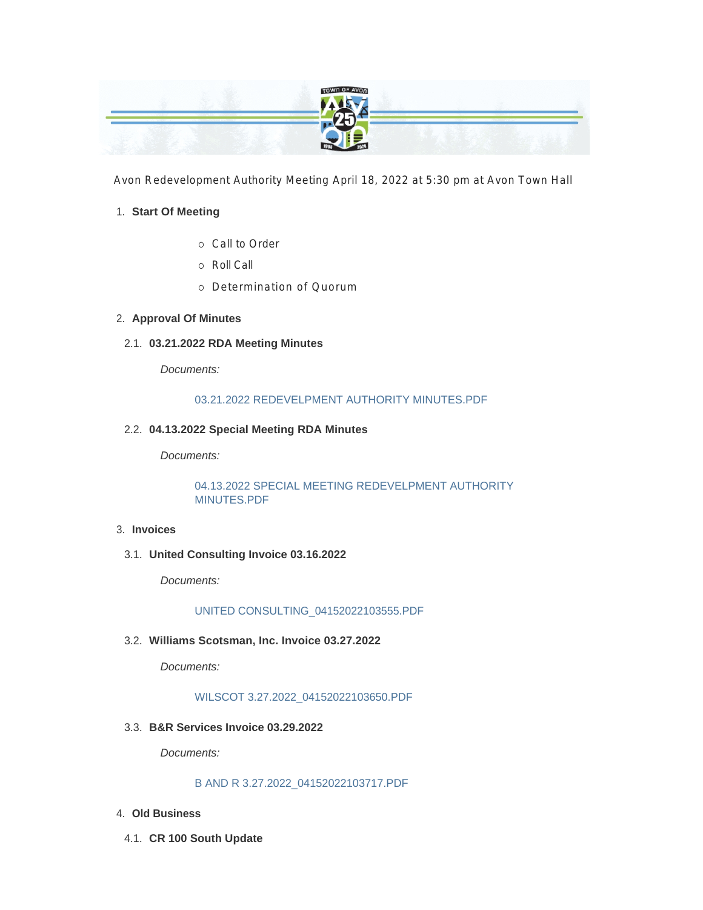

Avon Redevelopment Authority Meeting April 18, 2022 at 5:30 pm at Avon Town Hall

#### **Start Of Meeting** 1.

- ¡ Call to Order
- ¡ Roll Call
- ¡ Determination of Quorum

### **Approval Of Minutes** 2.

**03.21.2022 RDA Meeting Minutes** 2.1.

*Documents:*

#### 03.21.2022 REDEVELPMENT AUTHORITY MINUTES.PDF

#### **04.13.2022 Special Meeting RDA Minutes** 2.2.

*Documents:*

04.13.2022 SPECIAL MEETING REDEVELPMENT AUTHORITY MINUTES.PDF

#### **Invoices** 3.

**United Consulting Invoice 03.16.2022** 3.1.

*Documents:*

UNITED CONSULTING\_04152022103555.PDF

**Williams Scotsman, Inc. Invoice 03.27.2022** 3.2.

*Documents:*

WILSCOT 3.27.2022\_04152022103650.PDF

**B&R Services Invoice 03.29.2022** 3.3.

*Documents:*

#### B AND R 3.27.2022\_04152022103717.PDF

- **Old Business** 4.
- **CR 100 South Update** 4.1.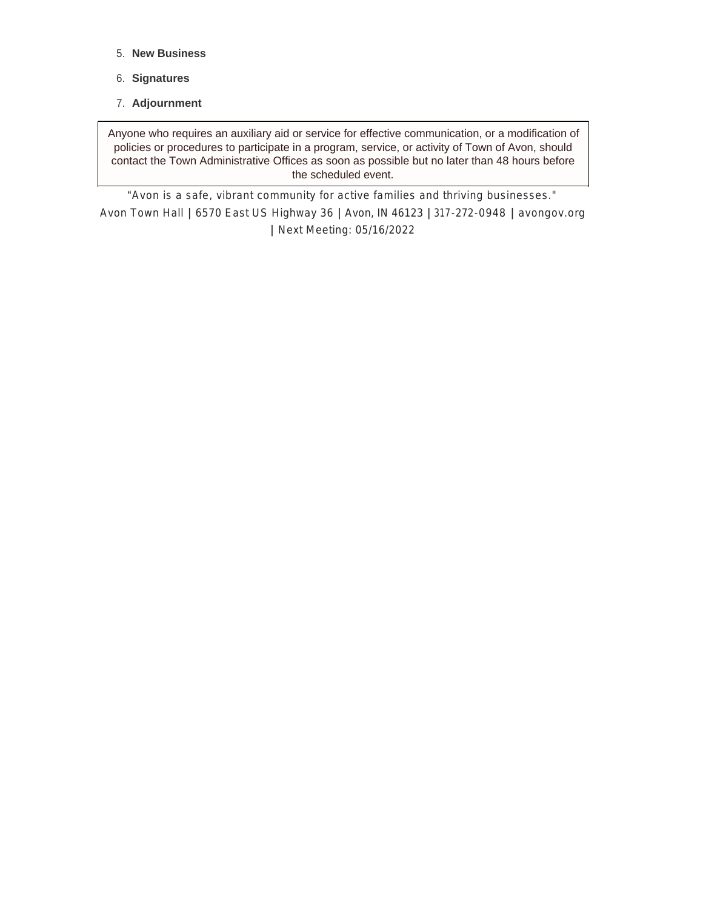- **New Business** 5.
- **Signatures** 6.
- **Adjournment** 7.

Anyone who requires an auxiliary aid or service for effective communication, or a modification of policies or procedures to participate in a program, service, or activity of Town of Avon, should contact the Town Administrative Offices as soon as possible but no later than 48 hours before the scheduled event.

"*Avon is a safe, vibrant community for active families and thriving businesses."* Avon Town Hall **|** 6570 East US Highway 36 **|** Avon, IN 46123 **|** 317-272-0948 **|** avongov.org **|** Next Meeting: 05/16/2022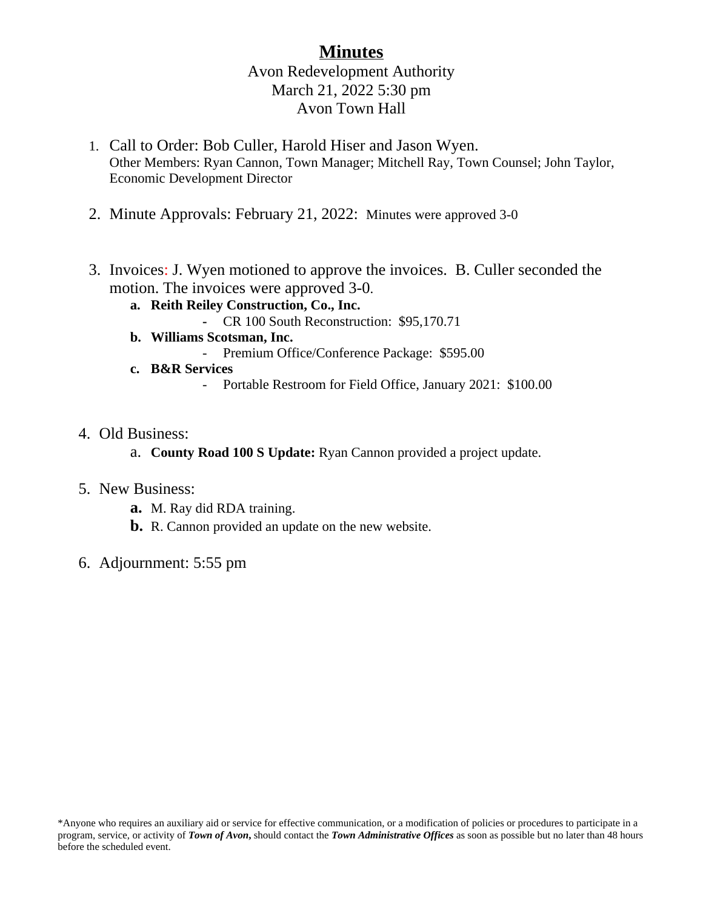# **Minutes** Avon Redevelopment Authority March 21, 2022 5:30 pm Avon Town Hall

- 1. Call to Order: Bob Culler, Harold Hiser and Jason Wyen. Other Members: Ryan Cannon, Town Manager; Mitchell Ray, Town Counsel; John Taylor, Economic Development Director
- 2. Minute Approvals: February 21, 2022: Minutes were approved 3-0
- 3. Invoices: J. Wyen motioned to approve the invoices. B. Culler seconded the motion. The invoices were approved 3-0.
	- **a. Reith Reiley Construction, Co., Inc.**
		- **-** CR 100 South Reconstruction: \$95,170.71
	- **b. Williams Scotsman, Inc.**
		- Premium Office/Conference Package: \$595.00
	- **c. B&R Services**
		- Portable Restroom for Field Office, January 2021: \$100.00
- 4. Old Business:
	- a. **County Road 100 S Update:** Ryan Cannon provided a project update.

# 5. New Business:

- **a.** M. Ray did RDA training.
- **b.** R. Cannon provided an update on the new website.
- 6. Adjournment: 5:55 pm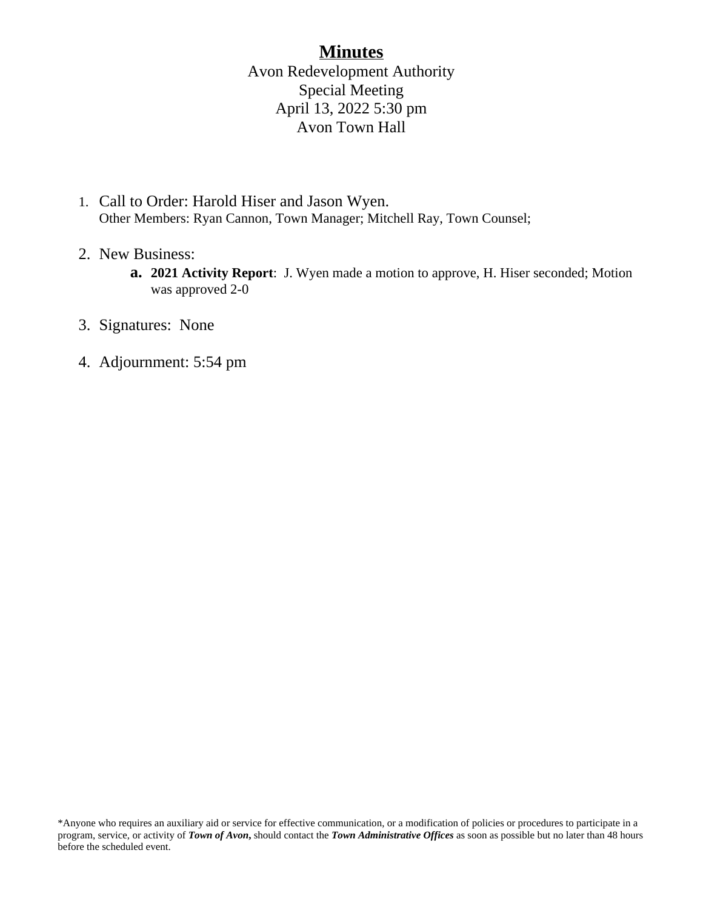# **Minutes**

Avon Redevelopment Authority Special Meeting April 13, 2022 5:30 pm Avon Town Hall

- 1. Call to Order: Harold Hiser and Jason Wyen. Other Members: Ryan Cannon, Town Manager; Mitchell Ray, Town Counsel;
- 2. New Business:
	- **a. 2021 Activity Report**: J. Wyen made a motion to approve, H. Hiser seconded; Motion was approved 2-0
- 3. Signatures: None
- 4. Adjournment: 5:54 pm

<sup>\*</sup>Anyone who requires an auxiliary aid or service for effective communication, or a modification of policies or procedures to participate in a program, service, or activity of *Town of Avon***,** should contact the *Town Administrative Offices* as soon as possible but no later than 48 hours before the scheduled event.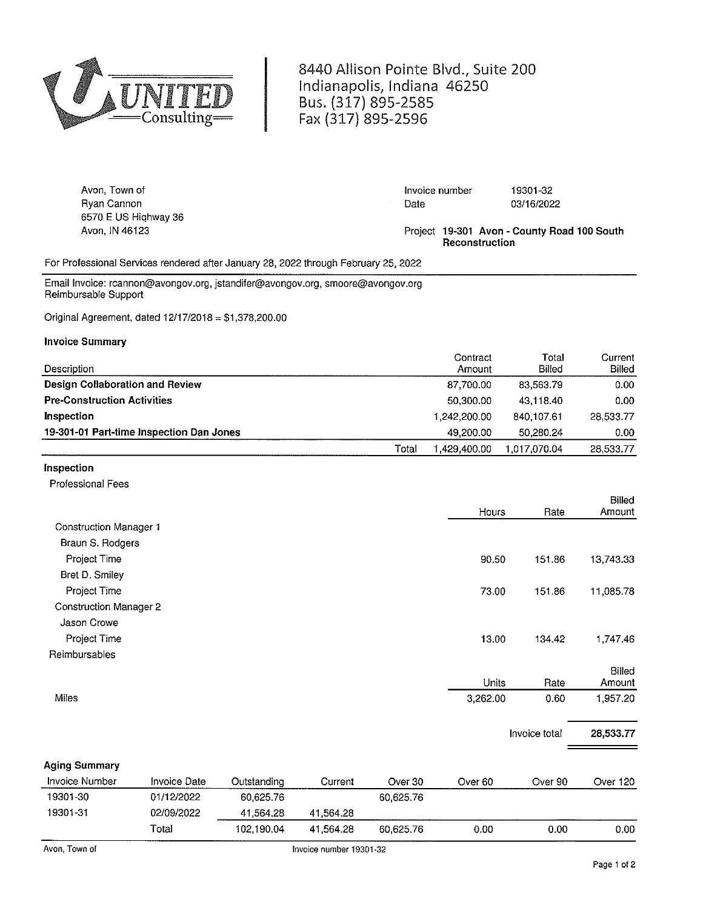

8440 Allison Pointe Blvd., Suite 200 Indianapolis, Indiana 46250 Bus. (317) 895-2585 Fax (317) 895-2596

| Avon, Town of        | Invoice number | 19301-32                                    |
|----------------------|----------------|---------------------------------------------|
| Rvan Cannon          | Date           | 03/16/2022                                  |
| 6570 E US Highway 36 |                |                                             |
| Avon. IN 46123       | Reconstruction | Project 19-301 Avon - County Road 100 South |

For Professional Services rendered after January 28, 2022 through February 25, 2022

Email Invoice: rcannon@avongov.org, jstandifer@avongov.org, smoore@avongov.org Reimbursable Support

Original Agreement, dated 12/17/2018 = \$1,378,200.00

#### **Invoice Summary**

| Description                              |       | Contract<br>Amount | Total<br>Billed | Current<br>Billed |
|------------------------------------------|-------|--------------------|-----------------|-------------------|
|                                          |       |                    |                 |                   |
| Design Collaboration and Review          |       | 87,700.00          | 83,563.79       | 0.00              |
| <b>Pre-Construction Activities</b>       |       | 50.300.00          | 43.118.40       | 0.00              |
| Inspection                               |       | 1.242.200.00       | 840,107.61      | 28.533.77         |
| 19-301-01 Part-time Inspection Dan Jones |       | 49.200.00          | 50.280.24       | 0.00              |
|                                          | Total | :429.400.00.       | 1.017.070.04    | 28,533.77         |

#### Inspection

**Professional Fees** 

|                               |               |                                     |        |                  | Hours                       | Rate                 | Billed<br>Amount        |
|-------------------------------|---------------|-------------------------------------|--------|------------------|-----------------------------|----------------------|-------------------------|
| <b>Construction Manager 1</b> |               |                                     |        |                  |                             |                      |                         |
| Braun S. Rodgers              |               |                                     |        |                  |                             |                      |                         |
| Project Time                  |               |                                     |        |                  | 90.50                       | 151.86               | 13,743.33               |
| Bret D. Smiley                |               |                                     |        |                  |                             |                      |                         |
| Project Time                  |               |                                     |        |                  | 73.00                       | 151.86               | 11,085.78               |
| <b>Construction Manager 2</b> |               |                                     |        |                  |                             |                      |                         |
| Jason Crowe                   |               |                                     |        |                  |                             |                      |                         |
| Project Time                  |               |                                     |        |                  | 13.00                       | 134.42               | 1,747.46                |
| Reimbursables                 |               |                                     |        |                  |                             |                      |                         |
|                               |               |                                     |        |                  | Units                       | Rate                 | <b>Billed</b><br>Amount |
| Miles                         |               |                                     |        |                  | 3,262.00                    | 0.60                 | 1,957.20                |
|                               |               |                                     |        |                  |                             | Invoice total        | 28,533.77               |
| <b>Aging Summary</b>          |               |                                     |        |                  |                             |                      |                         |
| Invoice Number                | $Fmin = Fmin$ | $\bigcap_{x}$ detected in $\bigcup$ | $\sim$ | $\sum_{i=1}^{n}$ | $\sim$ $\sim$ $\sim$ $\sim$ | $\sim$ $\sim$ $\sim$ | $\sim$ . 00             |

| <b>INVOICE INCINUEL</b> | <b>HIVULE DALE</b> | Uulsidhuli iy | Նսոշու    | uver ou   | over ou | Over 50 | OVEL IZU |
|-------------------------|--------------------|---------------|-----------|-----------|---------|---------|----------|
| 19301-30                | 01/12/2022         | 60.625.76     |           | 60,625.76 |         |         |          |
| 19301-31                | 02/09/2022         | 41.564.28     | 41.564.28 |           |         |         |          |
|                         | $\tau$ otal        | 102.190.04    | 41.564.28 | 60.625.76 | 0.00    | 0.00    | 0.00     |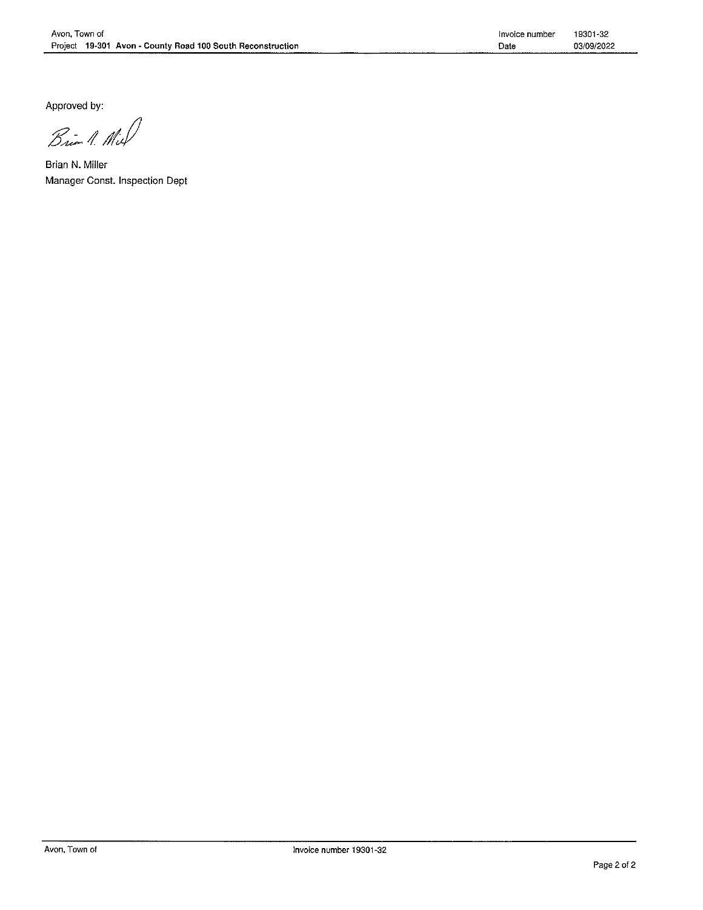Approved by:

Brin 1. Mil

Brian N. Miller Manager Const. Inspection Dept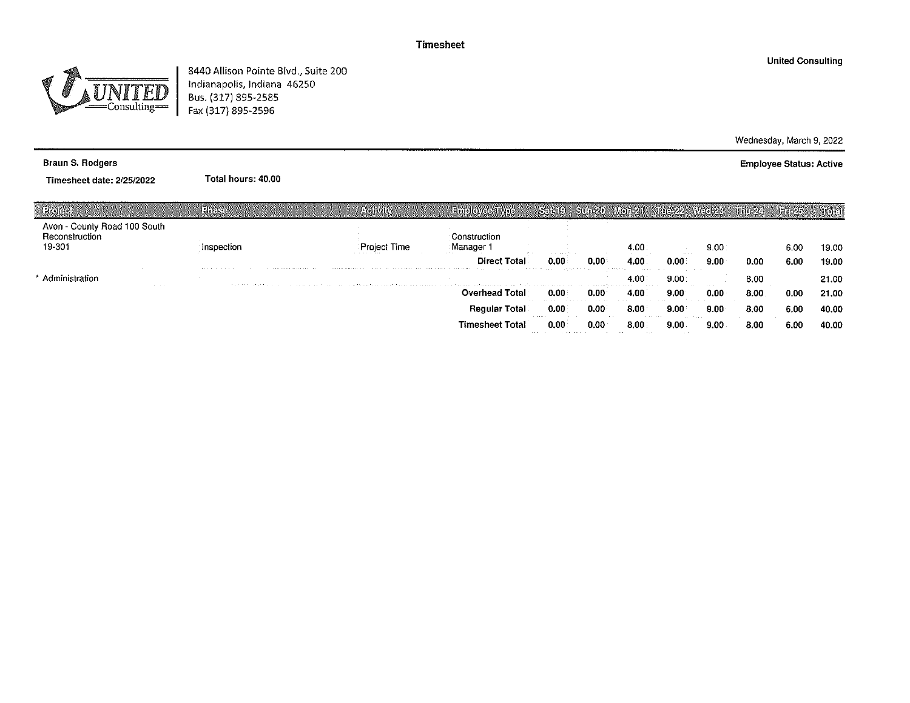

8440 Allison Pointe Blvd., Suite 200 Indianapolis, Indiana 46250<br>Bus. (317) 895-2585<br>Fax (317) 895-2596

Wednesday, March 9, 2022

**Employee Status: Active** 

**Braun S. Rodgers** 

Timesheet date: 2/25/2022

Total hours: 40.00

|                                                          | <b>LIFRE</b>               | <b>AGINITY</b>                                                                                                                                                                                                                 | <b>Euroloveca Moe</b>                                                                                                                                                                                                                                                 | Sacie)                                                                            | Stinbull                                     | $ V(0)  \geq 4$                        | ING YAN                                       | 841-1619-R               | រាព្រៃស្រង | laid Ia | សោះរ  |
|----------------------------------------------------------|----------------------------|--------------------------------------------------------------------------------------------------------------------------------------------------------------------------------------------------------------------------------|-----------------------------------------------------------------------------------------------------------------------------------------------------------------------------------------------------------------------------------------------------------------------|-----------------------------------------------------------------------------------|----------------------------------------------|----------------------------------------|-----------------------------------------------|--------------------------|------------|---------|-------|
| Avon - County Road 100 South<br>Reconstruction<br>19-301 | nspection.                 | the company's company's company's                                                                                                                                                                                              | Construction<br>Manager<br><b>ALCOHOL:</b>                                                                                                                                                                                                                            |                                                                                   |                                              | 4.00                                   |                                               | 9.00                     |            | 6.00    | 19.00 |
|                                                          | <b>Address Association</b> | .                                                                                                                                                                                                                              | and the con-<br><b>Direct Total</b><br>a service and the context of the company of the company of the context of the context of the context of the context of the context of the context of the context of the context of the context of the context of the context o | the company of the car<br>0.00<br>the contract of the second contract of the con- | 0.00                                         | 4.00<br>the company's state<br>.       | .<br>D.OO                                     | 9.00                     | 0.00       | 6.00    | 19.00 |
| Administration<br>the control                            |                            | The Contract of the Common Common and Common Common and Common Common Common Common Construction of the Common Common Common Common Common Common Common Common Common Common Common Common Common Common Common Common Common |                                                                                                                                                                                                                                                                       |                                                                                   |                                              | 4.00<br>.                              | 9.00                                          | <b>Contract Contract</b> | 8.00       |         | 21.00 |
|                                                          |                            |                                                                                                                                                                                                                                | <b>Overhead Total</b>                                                                                                                                                                                                                                                 | 0.00                                                                              | 0.00                                         | 4.00                                   | 9.00                                          | 0.00                     | 8.00       | 0.00    | 21.00 |
|                                                          |                            |                                                                                                                                                                                                                                | <b>Regular Total</b>                                                                                                                                                                                                                                                  | the company of the second company of<br>0.00                                      | the comment of the com-<br>0.00              | <b>Contract Contract</b><br>8.00       | $\sim$ $\sim$ $\sim$<br>9.00                  | 9.00                     | 8.00       | 6.00    | 40.00 |
|                                                          |                            |                                                                                                                                                                                                                                | <b>Timesheet Total</b>                                                                                                                                                                                                                                                | <br>$0.0^\circ$<br>the company's company's company's company's                    | .<br>0.00<br>the contract of the contract of | .<br>8.00<br>the control of the state. | the common state<br>9.00<br><b>Contractor</b> | 9.00                     | 8.00       | 6.00    | 40.00 |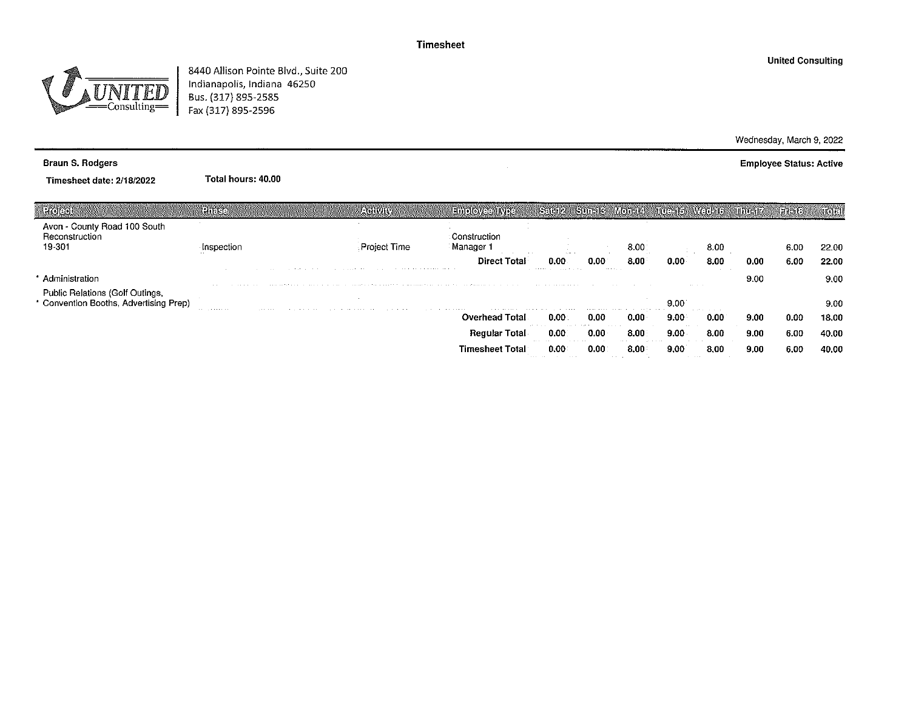

8440 Allison Pointe Blvd., Suite 200<br>Indianapolis, Indiana 46250<br>Bus. (317) 895-2585<br>Fax (317) 895-2596

**United Consulting** 

Wednesday, March 9, 2022 **Employee Status: Active** 

**Braun S. Rodgers** 

Timesheet date: 2/18/2022

Total hours: 40.00

| ાતહાલન                                                                  | Phase                                                      |                                   | <b>AORVAY</b>                                                                                                                                                                                                                  | <b>Employee IMPER</b>                                                                                                                                                      | $S_1$ in 2                                                                                                                                                                                                                           | <b>Sure Ki</b>                        | Monte                                                                                          | 瀬 11:51 銀 | <b>MAGGER</b>              | ancez | Film B | Kölel |
|-------------------------------------------------------------------------|------------------------------------------------------------|-----------------------------------|--------------------------------------------------------------------------------------------------------------------------------------------------------------------------------------------------------------------------------|----------------------------------------------------------------------------------------------------------------------------------------------------------------------------|--------------------------------------------------------------------------------------------------------------------------------------------------------------------------------------------------------------------------------------|---------------------------------------|------------------------------------------------------------------------------------------------|-----------|----------------------------|-------|--------|-------|
| Avon - County Road 100 South<br>Reconstruction<br>19-301                | Inspection                                                 |                                   | : Proiect Time                                                                                                                                                                                                                 | Construction<br>Manager 1<br><b>Contract Contract Contract</b>                                                                                                             | The Committee                                                                                                                                                                                                                        |                                       | 8.00%                                                                                          |           | 8.00                       |       | 6.00   | 22.00 |
|                                                                         |                                                            | the company of the company of the | the company of the company of the company of the company of the company of the company of the company of the company of the company of the company of the company of the company of the company of the company of the company  | <b>Direct Total</b>                                                                                                                                                        | າທ<br>the contract of the company of the state of the contract of the contract of the contract of the contract of the contract of the contract of the contract of the contract of the contract of the contract of the contract of th | 0.00<br>the state of the state of the | 8.00                                                                                           |           | 8.00<br>$\sim$ $\sim$      | 0.00  | 6.00   | 22.00 |
| Administration                                                          |                                                            |                                   |                                                                                                                                                                                                                                | and different action in a company amount of the conditation dimensional and action and dimensional action of a                                                             |                                                                                                                                                                                                                                      |                                       |                                                                                                |           | <b>CONTRACTOR</b>          | 9.00  |        | 9.00  |
| Public Relations (Golf Outings,<br>Convention Booths, Advertising Prep) | the complete state of the<br>and the state of the state of | the company's company's company's | the commission of the commission of the commission of the commission of the commission of the commission of the commission of the commission of the commission of the commission of the commission of the commission of the co | the company's company's company's company's company's<br>the search and search and search and search and search and search and search and search and search and search and |                                                                                                                                                                                                                                      |                                       |                                                                                                | 9.00      | the service control of the |       |        | 9.00  |
|                                                                         |                                                            |                                   |                                                                                                                                                                                                                                | <b>Overhead Total</b>                                                                                                                                                      | 0.00<br>and the state of                                                                                                                                                                                                             | 0.00<br>and the state of              | 0.00                                                                                           | 9.00      | 0.00                       | 9.00  | 0.00   | 18.00 |
|                                                                         |                                                            |                                   |                                                                                                                                                                                                                                | <b>Regular Total</b>                                                                                                                                                       | 0.00                                                                                                                                                                                                                                 | 0.00<br>.                             | 8.00<br>the contract of the contract of the con-                                               | 9.00      | 8.00                       | 9.00  | 6.00   | 40.00 |
|                                                                         |                                                            |                                   |                                                                                                                                                                                                                                | <b>Timesheet Total</b>                                                                                                                                                     | <b>Service State</b><br>0.00<br>the state of the control of the state of the                                                                                                                                                         | 0.00                                  | the control of the con-<br>$8.00^{\circ}$<br>the state of the con-<br><b>Contract Contract</b> | 9.00<br>. | 8.00                       | 9.00  | 6.00   | 40.00 |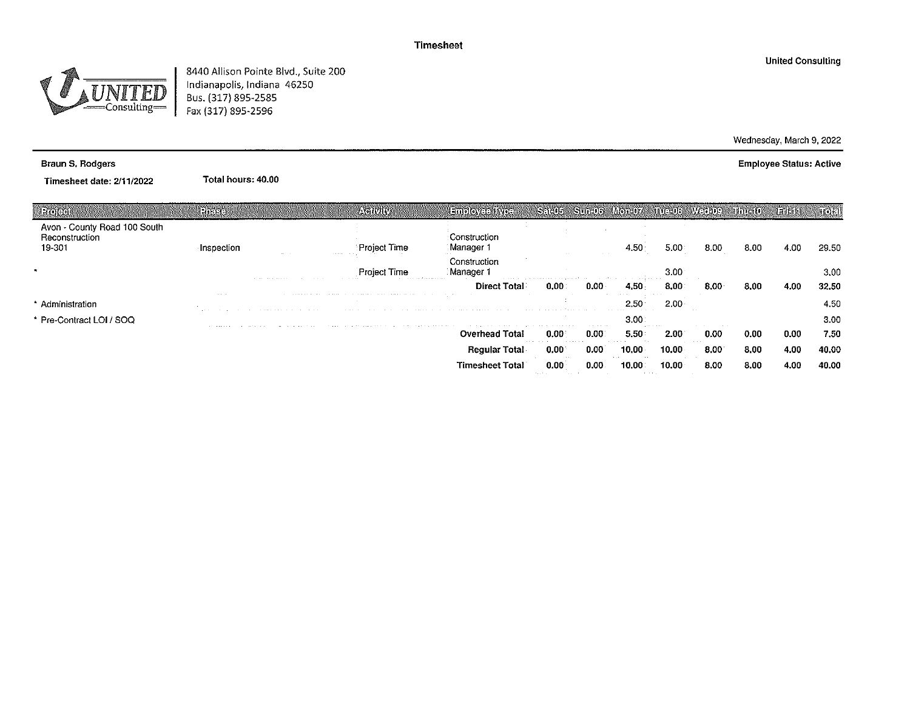-Consulting-

8440 Allison Pointe Blvd., Suite 200 Indianapolis, Indiana 46250<br>Bus. (317) 895-2585 Fax (317) 895-2596

Braun S. Rodgers

Timesheet date: 2/11/2022

Total hours: 40.00

| ा गर गर गर                                               | 19haes                            |          | ASHAHY                                                                                                          |                                                                                                                | ंनवमन                                                                                        |                                   |                                 |                           |              |      |       | ISO) (2)          |
|----------------------------------------------------------|-----------------------------------|----------|-----------------------------------------------------------------------------------------------------------------|----------------------------------------------------------------------------------------------------------------|----------------------------------------------------------------------------------------------|-----------------------------------|---------------------------------|---------------------------|--------------|------|-------|-------------------|
| Avon - County Road 100 South<br>Reconstruction<br>19 301 | Inspection                        | the con- | contract to the contract of the con-                                                                            | Construction<br>Manager 1                                                                                      |                                                                                              |                                   |                                 | 5.00                      | 8.00         | 8.00 | -4.00 | 29.50             |
|                                                          |                                   |          | <b>Project Time</b><br>the company's and a series are a series                                                  | Construction<br>Manager 1                                                                                      | the case of the accessories of the parameter and the contract of the contract of the problem |                                   |                                 | 3.00                      |              |      |       | 3.00 <sub>1</sub> |
|                                                          |                                   |          | the contract of the contract of the contract of the contract of the contract of the contract of the contract of | <b>Direct Total</b>                                                                                            | 0.00                                                                                         |                                   | <b>Contract Contract</b>        | 8.00                      | 8.00         | 8.00 | 4.00  | 32.50             |
| Administration                                           | <b>ALCOHOL:</b>                   |          | the season and the                                                                                              | sa na mga kalimaan na mga malaysing ang ng ang mga malaysing mga nagalang ang nagalawang sa mga mga pagalagan  |                                                                                              |                                   | the contract of the contract of | 2.00                      |              |      |       | 4.50              |
| * Pre-Contract LOI / SOQ                                 | the company's company's company's |          |                                                                                                                 | The company of the company of the property of the company and the company of the company of the company of the |                                                                                              | the company's company's company's | 3.00                            | the state of the state of | contract and |      |       | 3.00              |
|                                                          |                                   |          |                                                                                                                 | <b>Overhead Total</b>                                                                                          | 0.00                                                                                         | 0.00                              | 5.50                            | 2.00                      | 0.00         | 0.00 | 0.00  | 7.50              |
|                                                          |                                   |          |                                                                                                                 | <b>Regular Total</b>                                                                                           | .<br>0.00                                                                                    | 0.00                              | 10.00                           | 10.00                     | 8.00         | 8,00 | 4.00  | 40.00             |
|                                                          |                                   |          |                                                                                                                 | Timesheet Total                                                                                                | 0.00                                                                                         |                                   | <b>Contract Contract</b>        | 10.00                     | 8.00         | 8.00 | 4.00  | 40.00             |

**United Consulting** 

Wednesday, March 9, 2022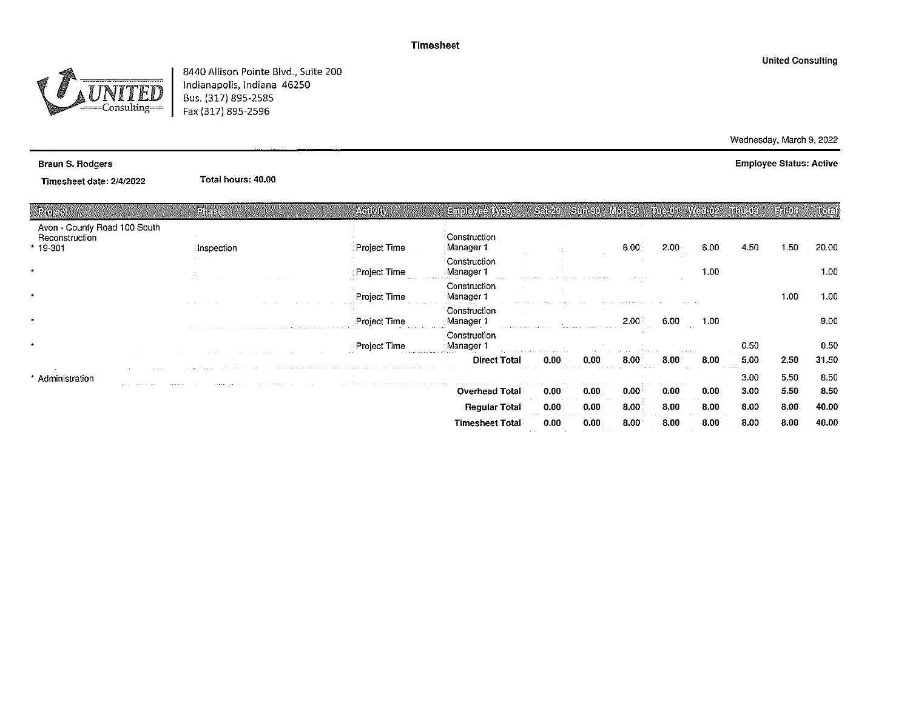

8440 Allison Pointe Blvd., Suite 200 Indianapolis, Indiana 46250 Bus. (317) 895-2585 Fax (317) 895-2596

#### **Braun S. Rodgers**

Timesheet date: 2/4/2022

Total hours: 40.00

| Projecti                                                    | Phase                                                                                                                                                                                                                          | AGIVILY                                                                                                                                                                                                                        | <b>Enployee Ilyee</b>                          | <b>CRICAL</b>          |       | <b>MOTES</b> | 田田山       | <b>WELLBOY</b> | Mindres | 177004 | noal  |
|-------------------------------------------------------------|--------------------------------------------------------------------------------------------------------------------------------------------------------------------------------------------------------------------------------|--------------------------------------------------------------------------------------------------------------------------------------------------------------------------------------------------------------------------------|------------------------------------------------|------------------------|-------|--------------|-----------|----------------|---------|--------|-------|
| Avon - County Road 100 South<br>Reconstruction<br>$*19-301$ | : Inspection                                                                                                                                                                                                                   | :Project Time                                                                                                                                                                                                                  | Construction<br>Manager 1                      |                        |       | 6.00         | 2.00<br>. | 6.00           | 4.50    | 1.50   | 20.00 |
| $\bullet$                                                   |                                                                                                                                                                                                                                | Project Time                                                                                                                                                                                                                   | Construction<br>Manager 1<br>$1.5 - 1.1 = 1.1$ |                        |       |              |           | 1.00           |         |        | 1.00  |
| $\bullet$                                                   |                                                                                                                                                                                                                                | Project Time                                                                                                                                                                                                                   | Construction<br>Manager 1                      |                        |       |              |           |                |         | 1.00   | 1.00  |
|                                                             |                                                                                                                                                                                                                                | Project Time                                                                                                                                                                                                                   | Construction<br>Manager 1                      |                        |       | 2.00         | 6.00      | 1.00           |         |        | 9.00  |
|                                                             | the construction of the company of the construction of the following the construction of the construction of the construction of the construction of the construction of the construction of the construction of the construct | the change of the state and<br><b>Project Time</b>                                                                                                                                                                             | Construction<br>Manager 1                      |                        |       |              |           |                | 0.50    |        | 0.50  |
|                                                             |                                                                                                                                                                                                                                | the contract and international                                                                                                                                                                                                 | .<br><b>Direct Total</b>                       | 0.00                   | 0.00  | 8.00         |           | 8.00           | 5,00    | 2,50   | 31.50 |
| Administration                                              |                                                                                                                                                                                                                                | The contract of the contract contract of the contract of the contract of the contract of the contract of the contract of the contract of the contract of the contract of the contract of the contract of the contract of the c | a consequence approaches a co-                 |                        |       |              |           |                | 3.00.   | 5.50   | 8.50  |
|                                                             | .                                                                                                                                                                                                                              | the second company is a company of the transportation of the company of the first                                                                                                                                              | <b>Overhead Total</b>                          | 0.00                   | 0.00: | 0.00         | 0.00      | 0.001          | 3.00    | 5.50   | 8.50  |
|                                                             |                                                                                                                                                                                                                                |                                                                                                                                                                                                                                | Regular Total∶                                 | 0.00                   | 0.00  | 8.00         | 8.00      | 8.00           | 8.00    | 8.00   | 40.00 |
|                                                             |                                                                                                                                                                                                                                |                                                                                                                                                                                                                                | <b>Timesheet Total</b>                         | 0.00<br><b>Service</b> | 0.00  | 8.00         | 8.00      | 8.00           | 8.00    | 8.00   | 40.00 |

Wednesday, March 9, 2022 **Employee Status: Active**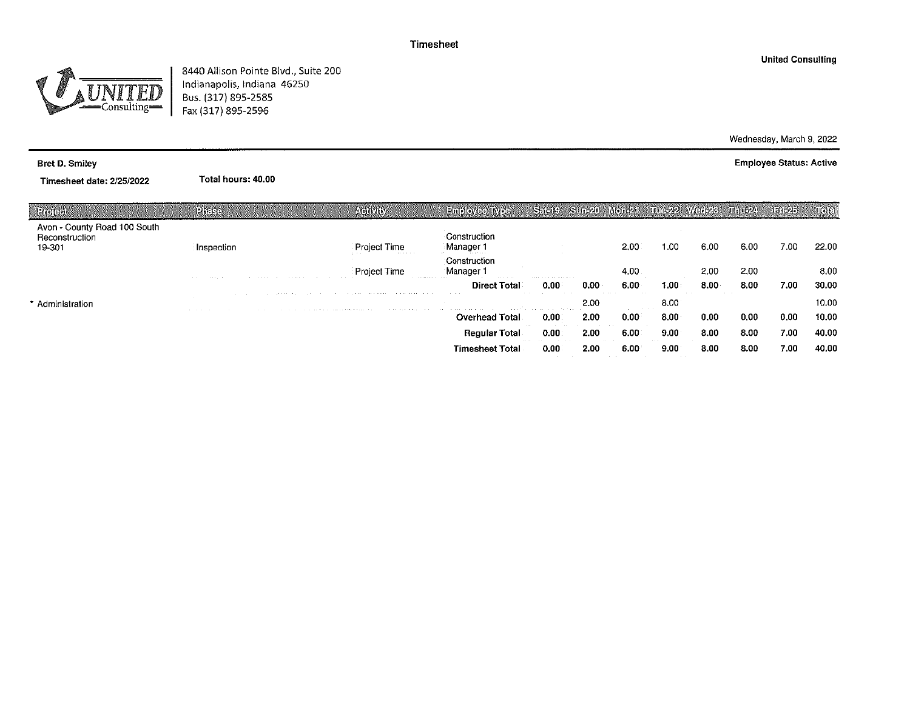

8440 Allison Pointe Blvd., Suite 200<br>Indianapolis, Indiana 46250<br>Bus. (317) 895-2585 Fax (317) 895-2596

#### **Bret D. Smiley**

Timesheet date: 2/25/2022

Total hours: 40.00

| ानेरगढाले                                                | Phee                                                   |                                                                                                                                                                                                                                | <b>Activity</b>                                                                                                                                                                                                                | <b>Employee IV of</b>                                                                                                                                                                                                                                   | <b>L'acit!</b>                                          |      | ifoteči at                                | <b>THE 22 WEIL28</b>                      |      | mmozy | ENGA) | $\mathbb{R}$ |
|----------------------------------------------------------|--------------------------------------------------------|--------------------------------------------------------------------------------------------------------------------------------------------------------------------------------------------------------------------------------|--------------------------------------------------------------------------------------------------------------------------------------------------------------------------------------------------------------------------------|---------------------------------------------------------------------------------------------------------------------------------------------------------------------------------------------------------------------------------------------------------|---------------------------------------------------------|------|-------------------------------------------|-------------------------------------------|------|-------|-------|--------------|
| Avon - County Road 100 South<br>Reconstruction<br>19-301 | Inspection                                             |                                                                                                                                                                                                                                | <b>Project Time</b><br><b>Contract Contract</b>                                                                                                                                                                                | Construction<br>Manager 1<br>and and company                                                                                                                                                                                                            |                                                         |      | 2,00                                      | 1.00.                                     | 6.00 | 6.00  | 7.00  | 22.00        |
|                                                          | <b>Service</b> Control<br>$\sim$ 100 $\sim$ 100 $\sim$ | contract and state of the con-                                                                                                                                                                                                 | Project Time                                                                                                                                                                                                                   | Construction<br>Manager 1<br>the complete service of the service<br>.                                                                                                                                                                                   | and an experience of the first con-                     |      | 4.00                                      |                                           | 2.00 | 2.00  |       | 8.00         |
|                                                          |                                                        |                                                                                                                                                                                                                                |                                                                                                                                                                                                                                | Total<br><b>Direct</b>                                                                                                                                                                                                                                  | 0.00                                                    | 0.00 | 6.00<br>.                                 | .00                                       | 8.00 | 8.00  | 7.00  | 30.00        |
| Administration                                           |                                                        |                                                                                                                                                                                                                                | the second contract the company of the second contract the contract of the contract of the contract of the contract of the contract of the contract of the contract of the contract of the contract of the contract of the con | The Contract of                                                                                                                                                                                                                                         |                                                         | 2.00 | <b>Contract Contract Contract</b>         | 8.00                                      |      |       |       | 10.00        |
|                                                          |                                                        | the company of the company of the company of the theory of the company of the company of the company of the company of the company of the company of the company of the company of the company of the company of the company o |                                                                                                                                                                                                                                | the companion of the companion of the companion of the companion of the companion of the companion of the companion of the companion of the companion of the companion of the companion of the companion of the companion of t<br><b>Overhead Total</b> | the companies of the companies of the companies<br>0.00 | 2.00 | 0.00                                      | 8.00 <sub>1</sub>                         | 0.00 | 0.00  | 0.00  | 10.00        |
|                                                          |                                                        |                                                                                                                                                                                                                                |                                                                                                                                                                                                                                | <b>Regular Total</b>                                                                                                                                                                                                                                    | 0.00                                                    | 2.00 | 6.00.                                     | 9.00                                      | 8.00 | 8.00  | 7.00  | 40.00        |
|                                                          |                                                        |                                                                                                                                                                                                                                |                                                                                                                                                                                                                                | <b>Service</b><br><b>Timesheet Total</b>                                                                                                                                                                                                                | 0.00                                                    | 2.00 | 6.00<br><b>Contract Contract Contract</b> | 9.00<br><b>Contract Contract Contract</b> | 8.00 | 8.00  | 7.00  | 40.00        |

Wednesday, March 9, 2022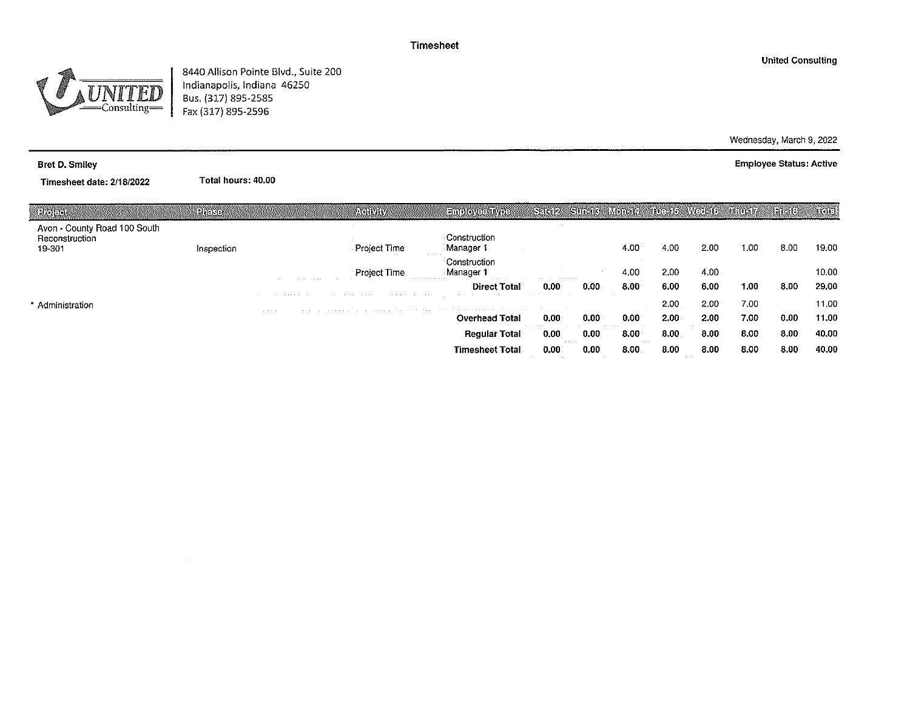

8440 Allison Pointe Blvd., Suite 200 Indianapolis, Indiana 46250 Bus. (317) 895-2585 Fax (317) 895-2596

Wednesday, March 9, 2022

**Employee Status: Active** 

Timesheet date: 2/18/2022

**Bret D. Smiley** 

Total hours: 40.00

| Helen                                                    | PITERE     |                                    | <b>AVERIVALLY</b>                                                                   | <b>Euployee INTER</b>                                               | Sact2 Sun 3 Mon-14            |      |                   | <b>INCHE WOUTE</b> |      | <b>Marie Cabe</b> | Naddal S | $\mathcal{H}$ |
|----------------------------------------------------------|------------|------------------------------------|-------------------------------------------------------------------------------------|---------------------------------------------------------------------|-------------------------------|------|-------------------|--------------------|------|-------------------|----------|---------------|
| Avon - County Road 100 South<br>Reconstruction<br>19-301 | Inspection |                                    | Project Time                                                                        | Construction<br>Manager 1                                           |                               |      | 4.00              | 4.00               | 2.00 | 1.00              | 8.00     | 19.00         |
|                                                          |            | the company's company's company's  | Project Time<br>the company's company's state of                                    | Construction<br>Manager 1<br>.<br><b>Contract Contract Contract</b> | and the contract of the state |      | $4.00 \cdot$      | 2.00               | 4.00 |                   |          | 10.00         |
|                                                          |            | the property of the control of the | the company's property and the property<br>the company's company's and              | <b>Direct Total</b>                                                 | 0.00<br>The Control           | 0.00 | 8.00 <sub>1</sub> | 6.00               | 6.00 | 1.00              | 8.00     | 29.00         |
| * Administration                                         |            | <b>Service</b> State               | and the constant of the constant of the constant contract to a constant constant of |                                                                     |                               |      |                   | 2.00               | 2.00 | 7.00              |          | 11.00         |
|                                                          |            |                                    |                                                                                     | <b>Overhead Total</b>                                               | $0,00 \cdot$                  | 0.00 | 0.00              | $2.00 -$           | 2.00 | 7.00              | 0.00     | 11.00         |
|                                                          |            |                                    |                                                                                     | <b>Regular Total</b>                                                | 0.00                          | 0.00 | 8.00 <sub>1</sub> | 8.00               | 8.00 | 8.00              | 8.00     | 40.00         |
|                                                          |            |                                    |                                                                                     | <b>Timesheet Total</b>                                              | 0.00                          | 0.00 | 8.00              | 8.00               | 8.00 | 8.00              | 8.00     | 40.00         |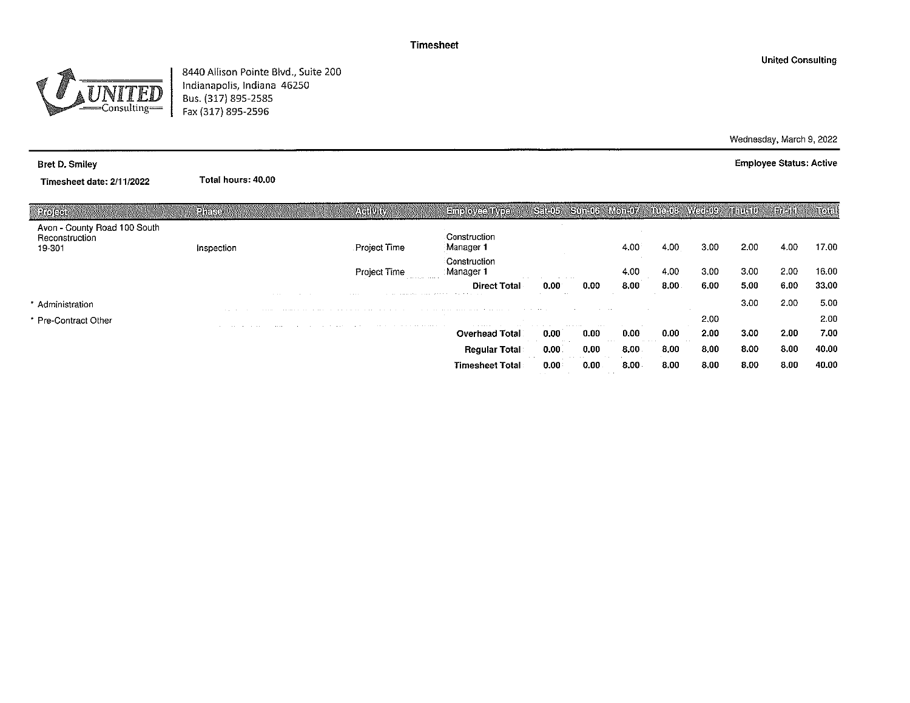$\frac{2}{2}$ Consulting=

8440 Allison Pointe Blvd., Suite 200 Indianapolis, Indiana 46250 Bus. (317) 895-2585 Fax (317) 895-2596

Total hours: 40.00

#### Bret D. Smiley

Timesheet date: 2/11/2022

| Projecti                                                 | PRESE         | <b>AGRURY</b>                                                                                                                                                                                                                                                                   | <b>EINPLOYEE INTER</b>                                                                                                                                                                                                                          | Sato Sunda                                                                      |                                | Monette                      | <b>INCLOS</b> | MycroBoek | munan             | <b>Bitah</b> | uoa   |
|----------------------------------------------------------|---------------|---------------------------------------------------------------------------------------------------------------------------------------------------------------------------------------------------------------------------------------------------------------------------------|-------------------------------------------------------------------------------------------------------------------------------------------------------------------------------------------------------------------------------------------------|---------------------------------------------------------------------------------|--------------------------------|------------------------------|---------------|-----------|-------------------|--------------|-------|
| Avon - County Road 100 South<br>Reconstruction<br>19-301 | Inspection    | <b>Project Time</b>                                                                                                                                                                                                                                                             | Construction<br>Manager 1                                                                                                                                                                                                                       |                                                                                 |                                | 4.00                         | 4.00          | 3.00      | 2.00              | 4.00         | 17.00 |
|                                                          |               | <b>Project Time</b><br>the state state of the state of                                                                                                                                                                                                                          | Construction<br>Manager 1                                                                                                                                                                                                                       | the contract of the contract of the contract of the contract of the contract of |                                | 4.00                         | 4.00          | 3.00      | 3.00              | 2.00         | 16.00 |
|                                                          |               |                                                                                                                                                                                                                                                                                 | <b>Direct Total</b>                                                                                                                                                                                                                             | 0.00                                                                            | 0.00                           | 8.00                         | 8.00.         | 6.00      | 5,00              | 6.00         | 33.00 |
| * Administration                                         | and the con-  | <b>CONTRACTOR</b><br>communication are the communication of the communication of the communication of the series of the control of                                                                                                                                              | the contract of the contract of the contract of the contract of the contract of the contract of the contract of the contract of the contract of the contract of the contract of the contract of the contract of the contract o                  | <b>COLLECT</b>                                                                  | <b>Service</b> State           |                              |               |           | 3.00              | 2.00         | 5.00  |
| * Pre-Contract Other                                     |               |                                                                                                                                                                                                                                                                                 |                                                                                                                                                                                                                                                 |                                                                                 | the state of the state of<br>. |                              |               | 2.00      |                   |              | 2.00  |
|                                                          | <b>CALL A</b> | the company of the company of the company of the company of the company of the company of the company of the company of the company of the company of the company of the company of the company of the company of the company<br>the control of the con-<br>the contract of the | the company of the company of the company of the company of the company of the company of the company of the company of the company of the company of the company of the company of the company of the company of the company<br>Overhead Total | 0.00                                                                            | 0.00                           | 0.00<br>$\sim$ $\sim$ $\sim$ | 0.00          | 2.00      | 3.00 <sub>1</sub> | 2.00         | 7.00  |
|                                                          |               |                                                                                                                                                                                                                                                                                 | <b>Regular Total</b>                                                                                                                                                                                                                            | 0.00                                                                            | 0.00                           | 8.00                         | 8,00          | 8.00      | 8.00              | 8.00         | 40.00 |
|                                                          |               |                                                                                                                                                                                                                                                                                 | <b>Timesheet Total</b>                                                                                                                                                                                                                          | 0.00                                                                            | 0.00                           | 8.00                         | 8.00          | 8.00      | 8.00              | 8.00         | 40.00 |

**United Consulting** 

Wednesday, March 9, 2022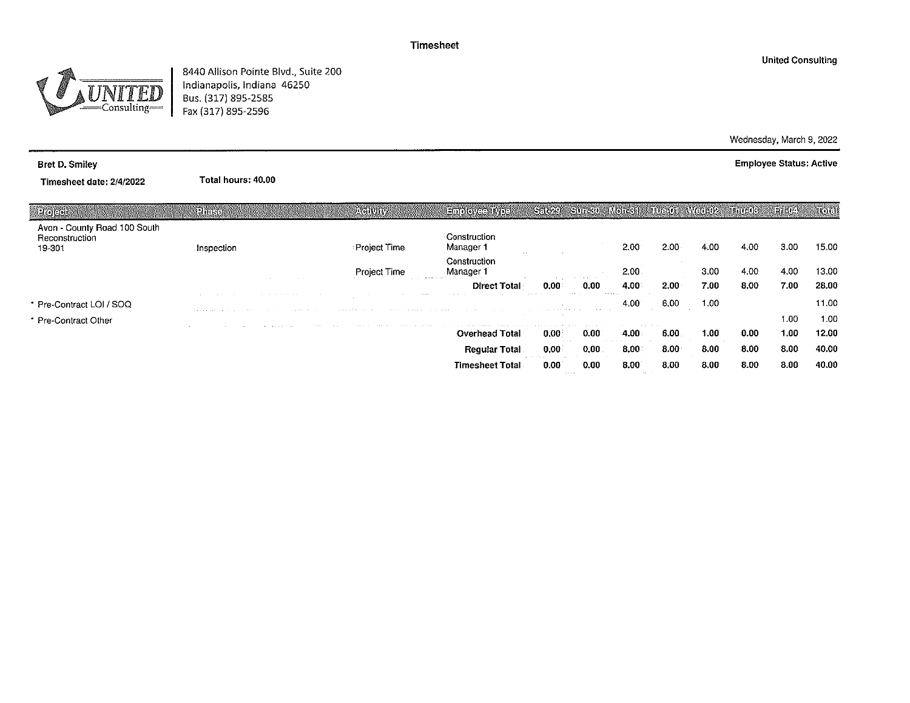$=$ Consulting $=$ 

8440 Allison Pointe Blvd., Suite 200 Indianapolis, Indiana 46250 Bus. (317) 895-2585 Fax (317) 895-2596

Total hours: 40.00

#### Bret D. Smiley

Timesheet date: 2/4/2022

| $12$ (e) $(2)$ and                                       | <b>Phase</b>                 | <b>AGINAN</b>                                                                                                                                                                                                                                             | <b>A SITTED COVERED A VIEW</b>                                                                                                                                                                                                | ह्रदृष्ट्यम               | S116801                   | Monesh                                                 | រោមសហរ | Matilie R | mmerk | i aanoo w | 1000              |
|----------------------------------------------------------|------------------------------|-----------------------------------------------------------------------------------------------------------------------------------------------------------------------------------------------------------------------------------------------------------|-------------------------------------------------------------------------------------------------------------------------------------------------------------------------------------------------------------------------------|---------------------------|---------------------------|--------------------------------------------------------|--------|-----------|-------|-----------|-------------------|
| Avon - County Road 100 South<br>Reconstruction<br>19-301 | Inspection                   | Project Time                                                                                                                                                                                                                                              | Construction<br>Manager 1<br>the company                                                                                                                                                                                      |                           |                           | 2.00                                                   | 2.00   | 4.00      | 4.00  | 3.00      | 15.00             |
|                                                          |                              | Project Time<br><b>Contract Contract</b>                                                                                                                                                                                                                  | Construction<br>Manager 1<br>the company of the second company                                                                                                                                                                |                           | the company of the com-   | 2,00                                                   |        | 3.00      | 4.00  | 4.00      | 13.00             |
|                                                          |                              | 1000000                                                                                                                                                                                                                                                   | <b>Direct Total</b>                                                                                                                                                                                                           | 0.00<br><b>STATISTICS</b> | 0.00<br><b>CONTRACTOR</b> | 4.00<br><b>CONTRACTOR</b>                              | 2.00   | 7.00      | 8.00  | 7.00      | 28.00             |
| * Pre-Contract LOI / SOQ                                 |                              | the second contract and contract and contract to the second contract of the second contract of the second contract of the second contract of the second contract of the second contract of the second contract of the second c<br>considered the constant | <b>Service Control</b>                                                                                                                                                                                                        |                           | <b>Contractor</b>         | 4.00                                                   | 6.00   | 1.00      |       |           | 11.00             |
| * Pre-Contract Other                                     | the state and control of the |                                                                                                                                                                                                                                                           | the company of the company of the company of the company of the company of the company of the company of the company of the company of the company of the company of the company of the company of the company of the company |                           |                           |                                                        |        |           |       | 1.00      | 1.00 <sub>1</sub> |
|                                                          |                              | <b>ALCOHOL:</b>                                                                                                                                                                                                                                           | <b>Overhead Total</b>                                                                                                                                                                                                         | 0.00                      | $0.00^{\circ}$            | $4.00 \cdot$                                           | 6.00   | 1.00      | 0.00  | 1,00      | 12.00             |
|                                                          |                              |                                                                                                                                                                                                                                                           | <b>Requiar Total</b>                                                                                                                                                                                                          | 0.00                      | 0,00.                     | 8,00                                                   | 8.00   | 8.00      | 8.00  | 8.00      | 40.00             |
|                                                          |                              |                                                                                                                                                                                                                                                           | <b>Timesheet Total</b>                                                                                                                                                                                                        | 0.00<br><b>Service</b>    | 0.00                      | 8.00 <sub>1</sub><br><b>Contract Contract Contract</b> | 8.00   | 8.00      | 8.00  | 8.00      | 40.00             |

Wednesday, March 9, 2022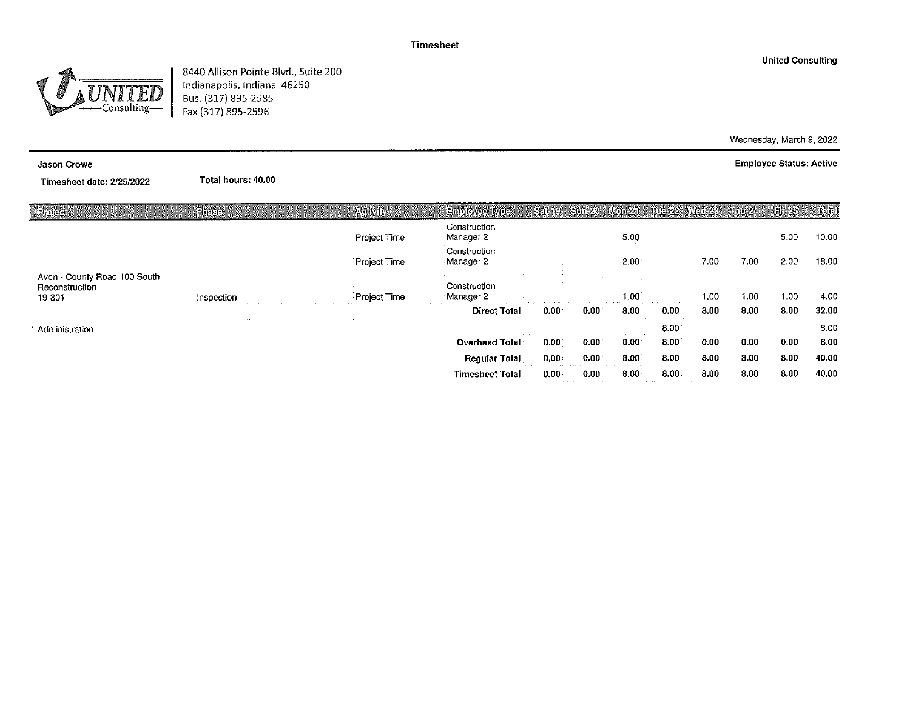$\frac{1}{2}$  Consulting  $=$ 

8440 Allison Pointe Blvd., Suite 200 Indianapolis, Indiana 46250 Bus. (317) 895-2585 Fax (317) 895-2596

Total hours: 40.00

#### **Jason Crowe**

Timesheet date: 2/25/2022

| Projecti                                                 | Phase      |                                             | <b>ACTIVITY</b> | Eniployee Type                  | $Set(19 - Sun-20)$      |                   | 時のに名              | Tue-22 Weet23 |                   | <b>Millipson</b> | Filt25 | 10el  |
|----------------------------------------------------------|------------|---------------------------------------------|-----------------|---------------------------------|-------------------------|-------------------|-------------------|---------------|-------------------|------------------|--------|-------|
|                                                          |            |                                             | Project Time    | Construction<br>Manager 2       |                         |                   | 5.00              |               |                   |                  | 5.00   | 10.00 |
|                                                          |            |                                             | Project Time    | Construction<br>Manager 2<br>.  |                         |                   | 2.00 <sub>1</sub> |               | 7.00              | 7.00             | 2.00   | 18.00 |
| Avon - County Road 100 South<br>Reconstruction<br>19-301 | Inspection |                                             | Project Time    | Construction<br>Manager 2       |                         |                   | 1.00              |               | 1,00              | 1.00             | 1.00   | 4.00  |
|                                                          |            | <b>State Street</b>                         |                 | <b>Direct Total</b>             | 0.00                    | $0.00^\circ$      | 8.00              | 0.00          | 8.00              | 8.00             | 8.00   | 32.00 |
| Administration                                           |            | a contract and a series and a series of the |                 | the problem of the state of the |                         | and the           |                   | 8.00          |                   |                  |        | 8.00  |
|                                                          |            |                                             |                 | <b>Overhead Total</b>           | 0.00                    | $0.00^\circ$      | 0.00 <sub>1</sub> | 8.00          | 0.00              | 0.00             | 0.00   | 8.00  |
|                                                          |            |                                             |                 | <b>Requiar Total</b>            | 0,00                    | 0.00 <sub>1</sub> | 8.00 <sub>1</sub> | 8.00          | 8.00 <sub>1</sub> | 8.00             | 8.00   | 40.00 |
|                                                          |            |                                             |                 | <b>Timesheet Total</b>          | 0.00<br>contractors and | $0.00^{\circ}$    | 8.00<br>.         | 8.00          | 8.00              | 8.00             | 8.00   | 40.00 |

Wednesday, March 9, 2022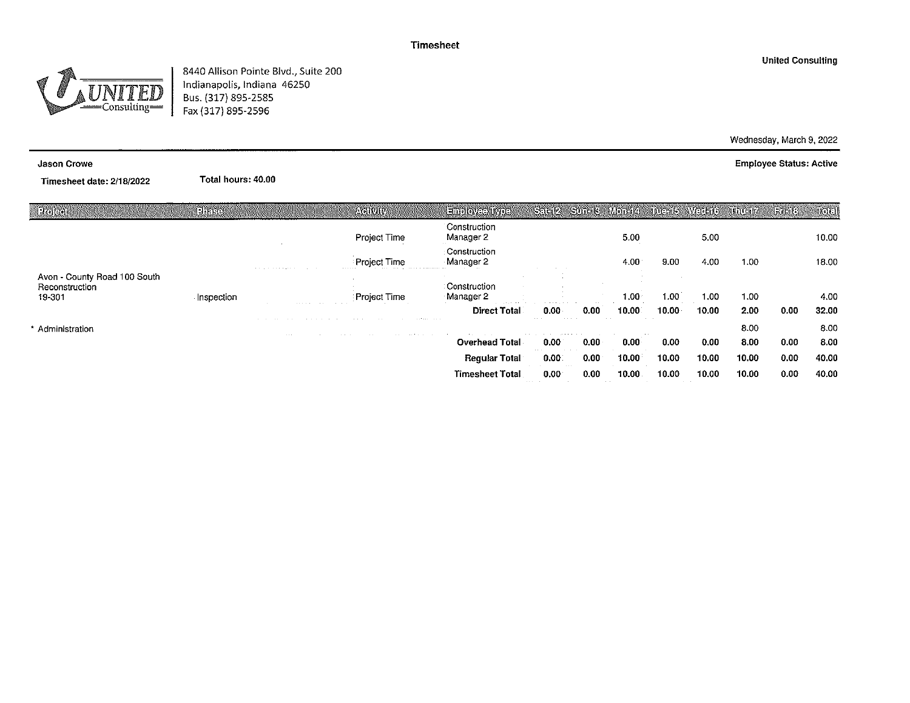$=$ Consulting=

8440 Allison Pointe Blvd., Suite 200 Indianapolis, Indiana 46250 Bus. (317) 895-2585 Fax (317) 895-2596

Total hours: 40.00

#### Jason Crowe

Timesheet date: 2/18/2022

| निर्छ। सम                                                | <b>Phase</b> |                                    | <b>ACTIVITY</b>    | Employee Iype                                       | Set12                                         |                                           |                   | Sunit3 Monit4 Inte-15 Weilet6 |       | alilei <i>v</i> | <b>GILL</b> | itolol |
|----------------------------------------------------------|--------------|------------------------------------|--------------------|-----------------------------------------------------|-----------------------------------------------|-------------------------------------------|-------------------|-------------------------------|-------|-----------------|-------------|--------|
|                                                          |              |                                    | Project Time       | Construction<br>Manager 2                           |                                               |                                           | 5.00              |                               | 5.00  |                 |             | 10.00  |
|                                                          |              | a car of the car and a game of the | Project Time       | Construction<br>Manager 2                           |                                               |                                           | 4.00              | 9.00                          | 4.00  | 1.00            |             | 18.00  |
| Avon - County Road 100 South<br>Reconstruction<br>19-301 | Inspection   |                                    | Project Time       | Construction<br>Manager 2                           |                                               |                                           | 1.00 <sub>1</sub> | 1.00                          | 1,00  | 1.00            |             | 4.00   |
|                                                          |              |                                    |                    | the company's company's com-<br><b>Direct Total</b> | the company of the company of the<br>$0.00 -$ | 0.00                                      | 10.00             | 10.00 <sub>1</sub>            | 10.00 | 2.00            | 0.00        | 32.00  |
| Administration                                           |              | the contract of the con-           | the control of the | construction of the con-<br>the first control of    | $\cdots$                                      |                                           |                   |                               |       | 8.00            |             | 8.00   |
|                                                          |              |                                    |                    | <b>Overhead Total</b>                               | 0.00 <sub>1</sub>                             | 0.00                                      | 0.00 <sub>1</sub> | 0.00                          | 0.00  | 8.00            | 0.00        | 8.00   |
|                                                          |              |                                    |                    | <b>Regular Total</b>                                | 0.00                                          | 0.00                                      | 10.00             | 10.00                         | 10.00 | 10.00           | 0.00        | 40.00  |
|                                                          |              |                                    |                    | <b>Timesheet Total</b>                              | 0.00<br>dealers and a series                  | 0.00<br><b>Contract Contract Contract</b> | 10.00             | 10.00                         | 10.00 | 10.00           | 0.00        | 40.00  |

**United Consulting** 

Wednesday, March 9, 2022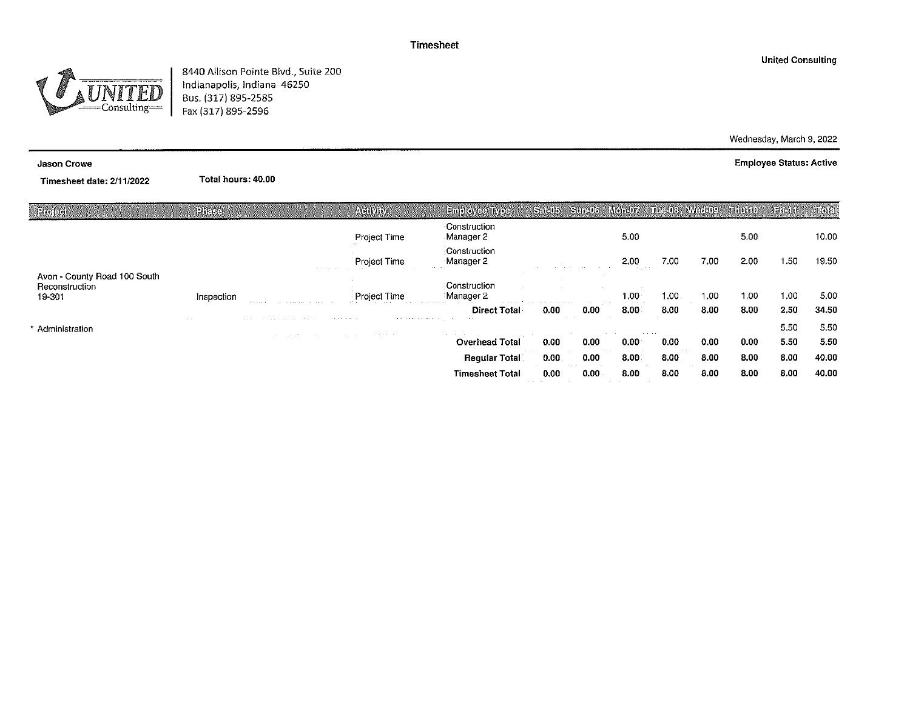8440 Allison Pointe Blvd., Suite 200 Indianapolis, Indiana 46250 Bus. (317) 895-2585 Fax (317) 895-2596

Total hours: 40.00

#### Jason Crowe

Timesheet date: 2/11/2022

| Project                                                  | Pheister   |                                                                 | Activity                  | Employee Type                                | <b>Sadib</b>                                                             | Surrua | <b>MORGIZA</b>               | <b>Meul: Wernig</b> |      | minato            | 1776 h A | $\mathbb{R}$ |
|----------------------------------------------------------|------------|-----------------------------------------------------------------|---------------------------|----------------------------------------------|--------------------------------------------------------------------------|--------|------------------------------|---------------------|------|-------------------|----------|--------------|
|                                                          |            |                                                                 | Project Time              | Construction<br>Manager 2                    |                                                                          |        | 5.00                         |                     |      | 5.00              |          | 10.00        |
|                                                          |            |                                                                 | Project Time              | Construction<br>Manager 2                    |                                                                          |        | 2.00                         | 7.00                | 7.00 | 2.00              | $-50$    | 19.50        |
| Avon - County Road 100 South<br>Reconstruction<br>19-301 | Inspection |                                                                 | Project Time              | Construction<br>Manager 2                    |                                                                          |        | 1.00                         | 1.00.               | 1.00 | 1.00              | 1.00     | 5.00         |
|                                                          |            |                                                                 | the state of the state of | <b>Direct Total</b>                          | a construction of the second contract and construction<br>$0.00^{\circ}$ | 0.00   | $\sim$ $\sim$ $\sim$<br>8.00 | 8.00                | 8.00 | 8.00              | 2.50     | 34.50        |
| Administration                                           | $\cdots$   | the state of the state of the state<br>the contract of the con- | April 1984 and            |                                              |                                                                          |        |                              |                     |      |                   | 5.50     | 5.50         |
|                                                          |            |                                                                 | the contract of           | the company of the company<br>Overhead Total | 0.00                                                                     | 0.00   | 0.00 <sub>1</sub>            | 0.00                | 0.00 | 0.00 <sub>1</sub> | 5.50     | 5.50         |
|                                                          |            |                                                                 |                           | <b>Requiar Total</b>                         | 0.00                                                                     | 0.00   | 8.00                         | 8.00.               | 8.00 | 8.00              | 8.00     | 40.00        |
|                                                          |            |                                                                 |                           | <b>Timesheet Total</b>                       | 0.00<br>contract and support                                             | 0.00.  | 8.00                         | 8.00                | 8.00 | 8.00              | 8.00     | 40.00        |

Wednesday, March 9, 2022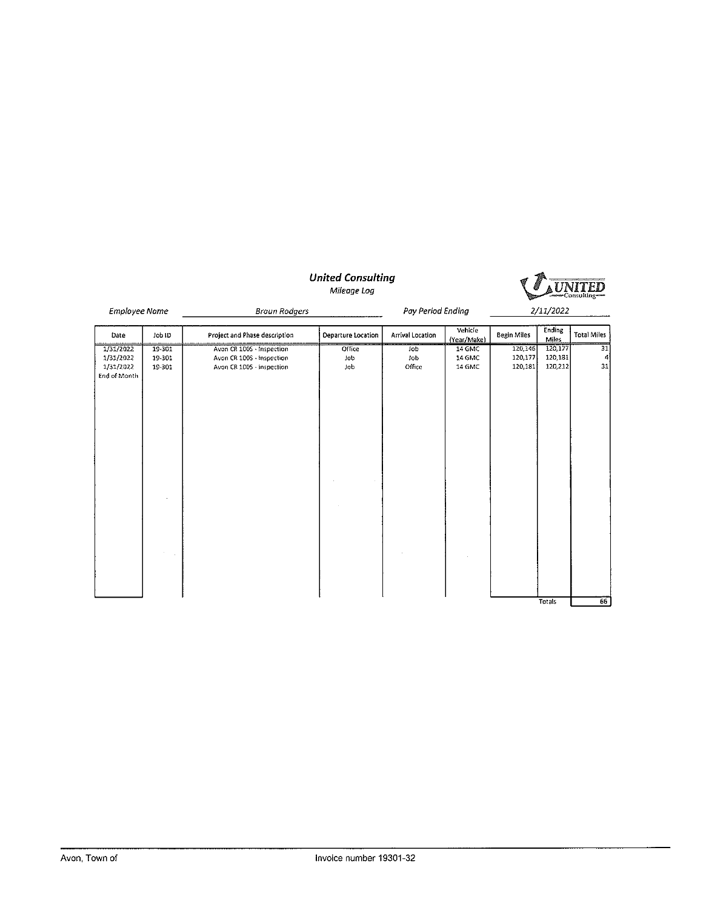|                                                     |                            |                                                                                     | <b>United Consulting</b><br>Mileage Log |                             |                            |                               |                               | ‱Consulting   |
|-----------------------------------------------------|----------------------------|-------------------------------------------------------------------------------------|-----------------------------------------|-----------------------------|----------------------------|-------------------------------|-------------------------------|---------------|
| <b>Employee Name</b>                                |                            | <b>Braun Rodgers</b>                                                                |                                         | Pay Period Ending           |                            |                               | 2/11/2022                     |               |
| Date                                                | Job ID                     | Project and Phase description                                                       | Departure Location                      | Arrival Location            | Vehicle<br>(Year/Make)     | <b>Begin Miles</b>            | <b>Ending</b><br><b>Miles</b> | Total Miles   |
| 1/31/2022<br>1/31/2022<br>1/31/2022<br>End of Month | 19-301<br>19-301<br>19-301 | Avon CR 100S - Inspection<br>Avon CR 100S - Inspection<br>Avon CR 1005 - Inspection | Office<br>lob<br>Job                    | Job<br><b>Job</b><br>Office | 14 GMC<br>14 GMC<br>14 GMC | 120,146<br>120,177<br>120,181 | 120,177<br>120,181<br>120,212 | 31<br>4<br>31 |
|                                                     |                            |                                                                                     |                                         |                             |                            |                               | <b>Totals</b>                 | 66            |

#### **United Consulting** Mileage Loa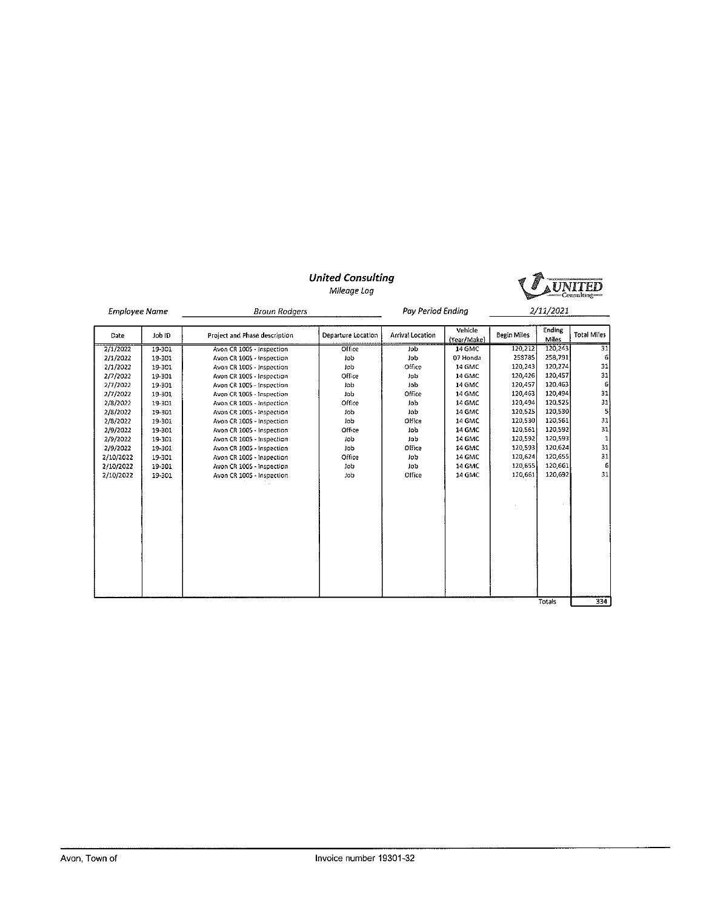# **UNITED**

# **United Consulting**

Mileage Log

| <b>Employee Name</b> |               | <b>Braun Rodgers</b>          |                    | Pay Period Ending |                        |             | 2/11/2021              |                    |
|----------------------|---------------|-------------------------------|--------------------|-------------------|------------------------|-------------|------------------------|--------------------|
| Date                 | <b>GI</b> doL | Project and Phase description | Departure Location | Arrival Location  | Vehicle<br>(Year/Make) | Begin Miles | Ending<br><b>Miles</b> | <b>Total Miles</b> |
| 2/1/2022             | 19-301        | Avon CR 1005 - Inspection     | Office             | <b>Job</b>        | 14 GMC                 | 120,212     | 120,243                | 31                 |
| 2/1/2022             | 19-301        | Avon CR 100S - Inspection     | Job                | Job               | 07 Honda               | 258785      | 258,791                | 6                  |
| 2/1/2022             | 19-301        | Avon CR 100S - Inspection     | Job                | Office            | 14 GMC                 | 120,243     | 120,274                | 31                 |
| 2/7/2022             | 19-301        | Avon CR 100S - Inspection     | Office             | Job               | 14 GMC                 | 120,426     | 120,457                | 31                 |
| 2/7/2022             | 19-301        | Avon CR 1005 - Inspection     | Job                | Job               | 14 GMC                 | 120.457     | 120,463                | $\boldsymbol{6}$   |
| 2/7/2022             | 19-301        | Avon CR 100S - Inspection     | Job                | Office            | 14 GMC                 | 120,463     | 120,494                | 31                 |
| 2/8/2022             | 19-301        | Avon CR 100S - Inspection     | Office             | Job               | 14 GMC                 | 120,494     | 120,525                | 31                 |
| 2/8/2022             | 19-301        | Avon CR 100S - Inspection     | Job                | Job               | 14 GMC                 | 120,525     | 120,530                | 5                  |
| 2/8/2022             | 19-301        | Avon CR 100S - Inspection     | Job                | Office            | 14 GMC                 | 120,530     | 120,561                | 31                 |
| 2/9/2022             | 19-301        | Avon CR 1005 - Inspection     | Office             | Job               | 14 GMC                 | 120,561     | 120,592                | 31                 |
| 2/9/2022             | 19-301        | Avon CR 100S - Inspection     | Job                | Job               | 14 GMC                 | 120,592     | 120,593                | $\mathbf{1}$       |
| 2/9/2022             | 19-301        | Avon CR 100S - Inspection     | <b>JOD</b>         | Office            | 14 GMC                 | 120,593     | 120,624                | 31                 |
| 2/10/2022            | 19-301        | Avon CR 100S - Inspection     | Office             | Job               | 14 GMC                 | 120,624     | 120,655                | 31                 |
| 2/10/2022            | 19-301        | Avon CR 100S - Inspection     | Job                | lob               | 14 GMC                 | 120,655     | 120,661                | -6                 |
| 2/10/2022            | 19-301        | Avon CR 1005 - Inspection     | Job                | Office            | 14 GMC                 | 120,661     | 120,692                | 31                 |
|                      |               |                               |                    |                   |                        |             |                        |                    |
|                      |               |                               |                    |                   |                        |             |                        |                    |
|                      |               |                               |                    |                   |                        |             |                        |                    |
|                      |               |                               |                    |                   |                        |             |                        |                    |
|                      |               |                               |                    |                   |                        |             |                        |                    |
|                      |               |                               |                    |                   |                        |             |                        |                    |
|                      |               |                               |                    |                   |                        |             |                        |                    |
|                      |               |                               |                    |                   |                        |             |                        |                    |
|                      |               |                               |                    |                   |                        |             |                        |                    |
|                      |               |                               |                    |                   |                        |             |                        |                    |
|                      |               |                               |                    |                   |                        |             |                        |                    |
|                      |               |                               |                    |                   |                        |             |                        |                    |
|                      |               |                               |                    |                   |                        |             | Totals                 | 334                |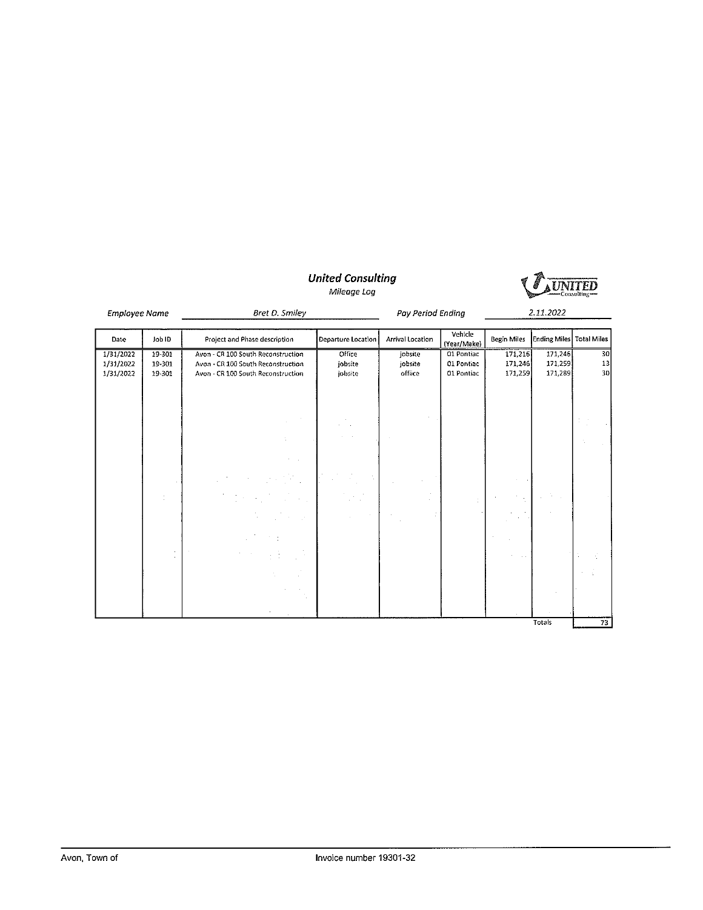# United Consulting<br>Mileage Log



| Employee Name                       |                            | Bret D. Smiley                                                                                                 |                              | Pay Period Ending             |                                        | 2.11.2022                     |                               |                |
|-------------------------------------|----------------------------|----------------------------------------------------------------------------------------------------------------|------------------------------|-------------------------------|----------------------------------------|-------------------------------|-------------------------------|----------------|
| Date                                | Job ID                     | Project and Phase description                                                                                  | Departure Location           | Arrival Location              | Vehicle<br>(Year/Make)                 | Begin Miles                   | Ending Miles Total Miles      |                |
| 1/31/2022<br>1/31/2022<br>1/31/2022 | 19-301<br>19-301<br>19-301 | Avon - CR 100 South Reconstruction<br>Avon - CR 100 South Reconstruction<br>Avon - CR 100 South Reconstruction | Office<br>jobsite<br>jobsite | jobsite<br>jobsite<br>offiice | 01 Pontiac<br>01 Pontiac<br>01 Pontiac | 171,216<br>171,246<br>171,259 | 171,246<br>171,259<br>171,289 | 30<br>13<br>30 |
|                                     |                            |                                                                                                                |                              |                               |                                        |                               |                               |                |
|                                     |                            |                                                                                                                |                              |                               |                                        |                               |                               |                |
|                                     |                            | $\sim 100$                                                                                                     |                              |                               |                                        |                               |                               |                |
|                                     |                            |                                                                                                                |                              |                               |                                        |                               | Totals                        | 73             |

Invoice number 19301-32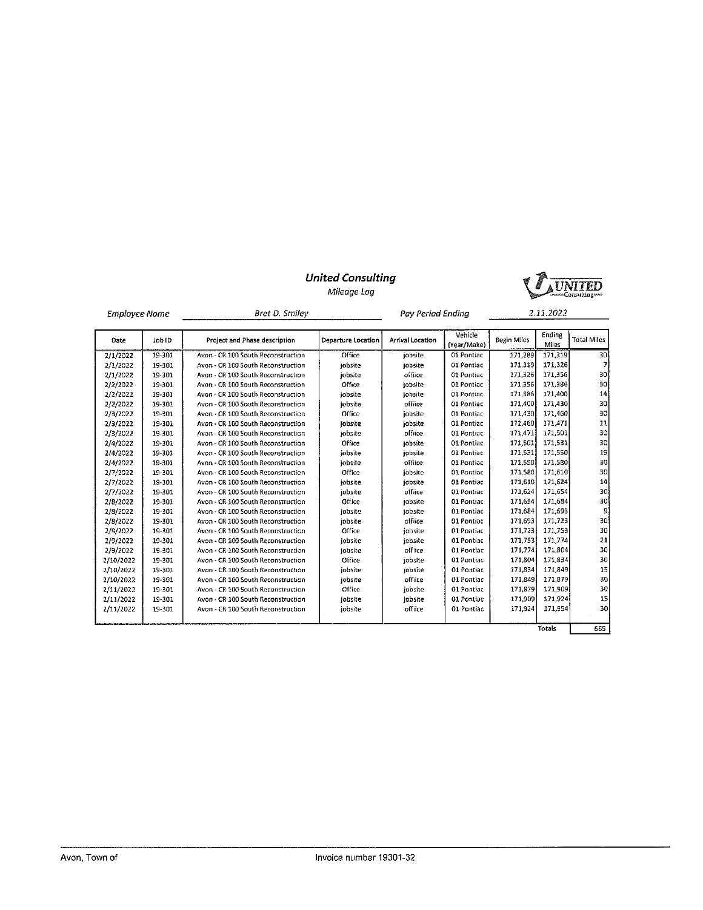

Mileage Log

|           | Bret D. Smiley<br><b>Employee Name</b><br>Pav Period Endina |                                    |                    | 2.11.2022        |                         |                    |                 |                    |
|-----------|-------------------------------------------------------------|------------------------------------|--------------------|------------------|-------------------------|--------------------|-----------------|--------------------|
| Date      | Job ID                                                      | Project and Phase description      | Departure Location | Arrival Location | Vehicle<br>(Year, Make) | <b>Begin Miles</b> | Ending<br>Miles | <b>Total Miles</b> |
| 2/1/2022  | 19-301                                                      | Avon - CR 100 South Reconstruction | Office             | iobsite          | 01 Pontiac              | 171,289            | 171.319         | 30                 |
| 2/1/2022  | 19-301                                                      | Avon - CR 100 South Reconstruction | iobsite            | iobsite          | 01 Pontiac              | 171.319            | 171,326         | 7                  |
| 2/1/2022  | 19-301                                                      | Avon - CR 100 South Reconstruction | iobsite            | offiice          | 01 Pontiac              | 171,326            | 171.356         | 30                 |
| 2/2/2022  | 19-301                                                      | Avon - CR 100 South Reconstruction | Office             | jobsite          | 01 Pontiac              | 171,356            | 171,386         | 30                 |
| 2/2/2022  | 19-301                                                      | Avon - CR 100 South Reconstruction | jobsite            | iobsite          | 01 Pontiac              | 171,386            | 171,400         | 4                  |
| 2/2/2022  | 19-301                                                      | Avon - CR 100 South Reconstruction | iobsite            | offiice          | 01 Postiac              | 171,400            | 171,430         | 30                 |
| 2/3/2022  | 19-301                                                      | Avon - CR 100 South Reconstruction | Office             | iobsite          | 01 Pontiac              | 171,430            | 171,460         | 30                 |
| 2/3/2022  | 19-301                                                      | Avon - CR 100 South Reconstruction | iobsite            | iobsite          | 01 Pontiac              | 171,460            | 171.471         | 11                 |
| 2/3/2022  | 19-301                                                      | Avon - CR 100 South Reconstruction | iobsite            | offiice          | 01 Pontiac              | 171,471            | 171,501         | 30                 |
| 2/4/2022  | 19-301                                                      | Avon - CR 100 South Reconstruction | Office             | jobsite          | 01 Pontiac              | 171,501            | 171,531         | 30                 |
| 2/4/2022  | 19-301                                                      | Avon - CR 100 South Reconstruction | iobsite            | iobsite          | 01 Pontiac              | 171,531            | 171,550         | 19                 |
| 2/4/2022  | 19-301                                                      | Avon - CR 100 South Reconstruction | jobsite            | office           | 01 Pontiac              | 171.550            | 171,580         | 30                 |
| 2/7/2022  | 19-301                                                      | Avon - CR 100 South Reconstruction | Office             | jobsite          | 01 Pontiac              | 171,580            | 171,610         | 30                 |
| 2/7/2022  | 19-301                                                      | Avon - CR 100 South Reconstruction | iobsite            | jobsite          | 01 Pontiac              | 171.610            | 171,624         | 14                 |
| 2/7/2022  | 19-301                                                      | Avon - CR 100 South Reconstruction | iobsite            | offiice          | 01 Pontiac              | 171,624            | 171,654         | 30                 |
| 2/8/2022  | 19-301                                                      | Avon - CR 100 South Reconstruction | Office             | iobsite          | 01 Pontiac              | 171,654            | 171,684         | 30                 |
| 2/8/2022  | 19-301                                                      | Avon - CR 100 South Reconstruction | iobsite            | jobsite          | 01 Pontiac              | 171,684            | 171,693         | 9                  |
| 2/8/2022  | 19-301                                                      | Avon - CR 100 South Reconstruction | jobsite            | office           | 01 Pontiac              | 171,693            | 171,723         | 30                 |
| 2/9/2022  | 19-301                                                      | Avon - CR 100 South Reconstruction | Office             | jobsite          | 01 Pontiac              | 171,723            | 171,753         | 30                 |
| 2/9/2022  | 19-301                                                      | Avon - CR 100 South Reconstruction | iobsite            | jobsite          | 01 Pontiac              | 171.753            | 171,774         | 21                 |
| 2/9/2022  | 19-301                                                      | Avon - CR 100 South Reconstruction | iobsite            | office           | 01 Pontiac              | 171,774            | 171,804         | 30                 |
| 2/10/2022 | 19-301                                                      | Avon - CR 100 South Reconstruction | Office             | jobsite          | 01 Pontiac              | 171,804            | 171,834         | 30                 |
| 2/10/2022 | 19-301                                                      | Avon - CR 100 South Reconstruction | jobsite            | jobsite          | 01 Pontiac              | 171,834            | 171,849         | 15                 |
| 2/10/2022 | 19-301                                                      | Avon - CR 100 South Reconstruction | jobsite            | offiice          | 01 Pontiac              | 171,849            | 171,879         | 30                 |
| 2/11/2022 | 19-301                                                      | Avon - CR 100 South Reconstruction | Office             | jobsite          | <b>01 Pontiac</b>       | 171,879            | 171,909         | 30                 |
| 2/11/2022 | 19-301                                                      | Avon - CR 100 South Reconstruction | iobsite            | iobsite          | 01 Pontiac              | 171,909            | 171,924         | 15                 |
| 2/11/2022 | 19-301                                                      | Avon - CR 100 South Reconstruction | lobsite            | office           | 01 Pontiac              | 171,924            | 171,954         | 30                 |
|           |                                                             |                                    |                    |                  |                         |                    |                 |                    |
|           |                                                             |                                    |                    |                  |                         |                    | Totals          | 665                |

Invoice number 19301-32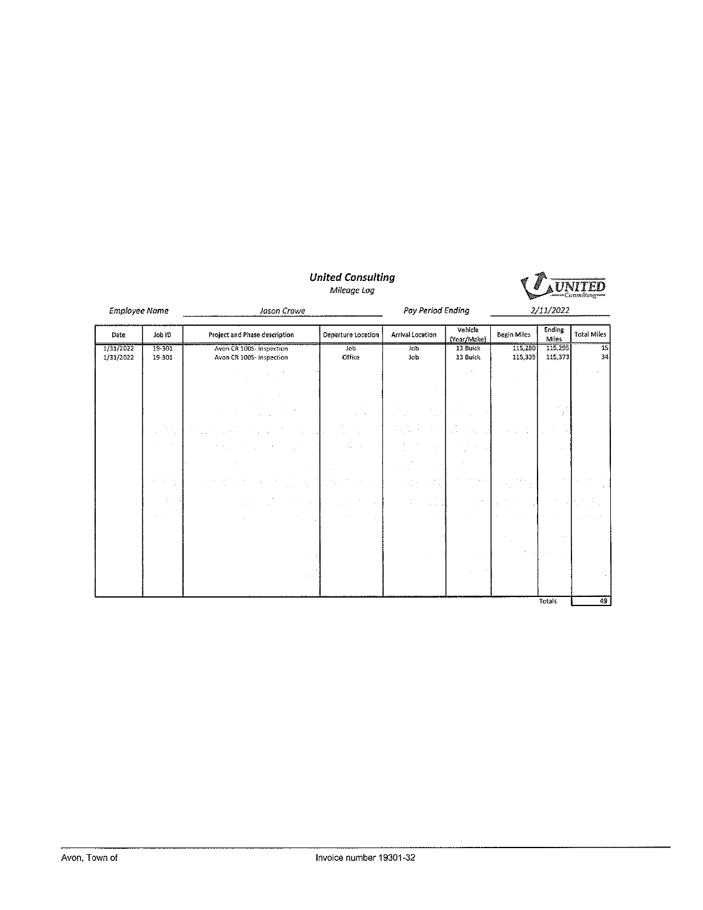

**United Consulting** Mileage Log

Employee Name Jason Crowe Pay Period Ending 2/11/2022 Ending<br>
Miles<br>
115,295<br>
115,373 Vehicle Arrival Location Date Job ID Project and Phase description **Departure Location Begin Miles Total Miles** venicie<br>
(Year/Make)<br>
13 Buick<br>
13 Buick 1/31/2022<br>1/31/2022 19-301<br>19-301 **Avon CR 100S-Inspection**<br>Avon CR 100S-Inspection  $\overline{\text{Joh}}$ 115,280  $\frac{15}{34}$  $\overline{J_0}$ Office Job 115,339  $\frac{49}{ }$ **Totals**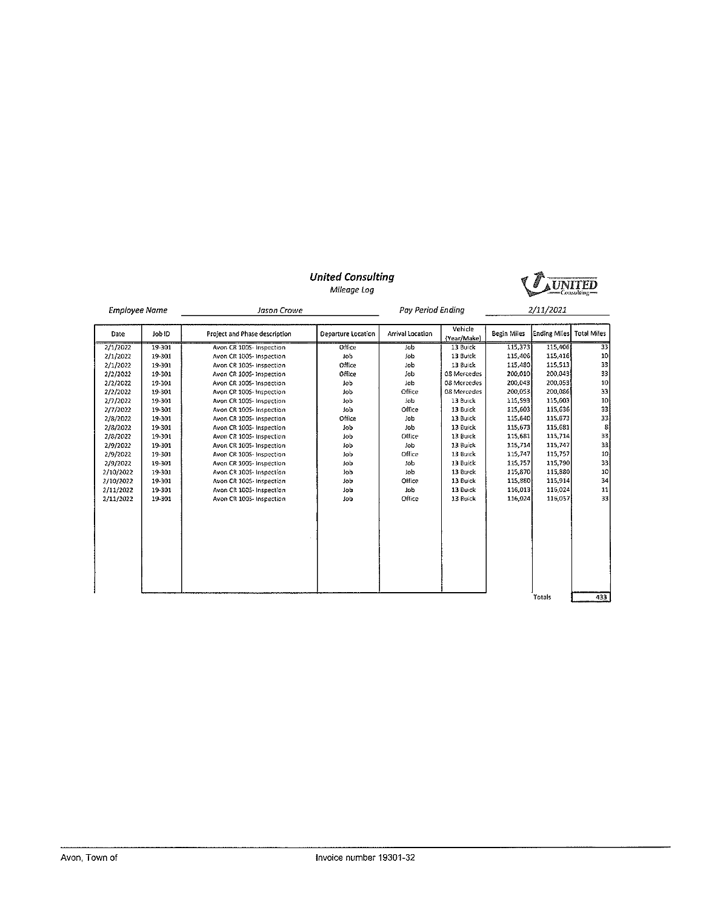

Mileage Log

| <b>Employee Name</b> |        | Jason Crowe                   |                    | <b>Pay Period Ending</b> |                        |             | 2/11/2021    |                    |
|----------------------|--------|-------------------------------|--------------------|--------------------------|------------------------|-------------|--------------|--------------------|
| Date                 | Job ID | Project and Phase description | Departure Location | Arrival Location         | Vehicle<br>{Year/Make} | Begin Miles | Ending Miles | <b>Total Miles</b> |
| 2/1/2022             | 19-301 | Avon CR 1005-Inspection       | Office             | <b>Job</b>               | 13 Buick               | 115,373     | 115,406      | 33                 |
| 2/1/2022             | 19-301 | Avon CR 100S- Inspection      | Job                | Job                      | 13 Buick               | 115,406     | 115,416      | 10                 |
| 2/1/2022             | 19-301 | Avon CR 100S- Inspection      | Office             | job                      | 13 Buick               | 115,480     | 115,513      | 33                 |
| 2/2/2022             | 19-301 | Avon CR 100S- Inspection      | Office             | Job                      | 08 Mercedes            | 200,010     | 200,043      | 33                 |
| 2/2/2022             | 19-301 | Avon CR 100S- Inspection      | Job                | lob                      | 08 Mercedes            | 200.043     | 200.053      | 10                 |
| 2/2/2022             | 19-301 | Avon CR 1005-Inspection       | Job                | Office                   | 08 Mercedes            | 200.053     | 200.086      | 33                 |
| 2/7/2022             | 19-301 | Avon CR 100S- Inspection      | Job                | Job                      | 13 Buick               | 115.593     | 115 603      | 10                 |
| 2/7/2022             | 19-301 | Avon CR 100S- Inspection      | <b>Job</b>         | Office                   | 13 Buick               | 115,603     | 115,636      | 33                 |
| 2/8/2022             | 19-301 | Avon CR 1005- Inspection      | Office             | Job                      | 13 Buick               | 115,640     | 115.673      | 33                 |
| 2/8/2022             | 19-301 | Avon CR 100S- Inspection      | <b>Job</b>         | Job                      | 13 Buick               | 115,673     | 115,681      | 8 <sup>1</sup>     |
| 2/8/2022             | 19-301 | Avon CR 1005- Inspection      | Job                | Office                   | 13 Buick               | 115,681     | 115,714      | 33                 |
| 2/9/2022             | 19-301 | Avon CR 100S- Inspection      | Job                | Job                      | 13 Buick               | 115,714     | 115,747      | 33                 |
| 2/9/2022             | 19-301 | Avon CR 100S- Inspection      | Job                | Office                   | 13 Buick               | 115,747     | 115,757      | 10                 |
| 2/9/2022             | 19-301 | Avon CR 1005- Inspection      | lob                | tob                      | 13 Buick               | 115.757     | 115,790      | 33                 |
| 2/10/2022            | 19-301 | Avon CR 100S- Inspection      | lob                | Job                      | 13 Buick               | 115,870     | 115 880      | 10                 |
| 2/10/2022            | 19-301 | Avon CR 1005-Inspection       | <b>Job</b>         | Office                   | 13 Buick               | 115,880     | 115,914      | 34                 |
| 2/11/2022            | 19-301 | Avon CR 100S-Inspection       | Job                | Job                      | 13 Buick               | 116,013     | 116,024      | 11                 |
| 2/11/2022            | 19-301 | Avon CR 1005- Inspection      | 3ob                | Office                   | 13 Buick               | 116,024     | 116.057      | 33                 |
|                      |        |                               |                    |                          |                        |             |              |                    |
|                      |        |                               |                    |                          |                        |             |              |                    |
|                      |        |                               |                    |                          |                        |             |              |                    |
|                      |        |                               |                    |                          |                        |             | Totals       | 433                |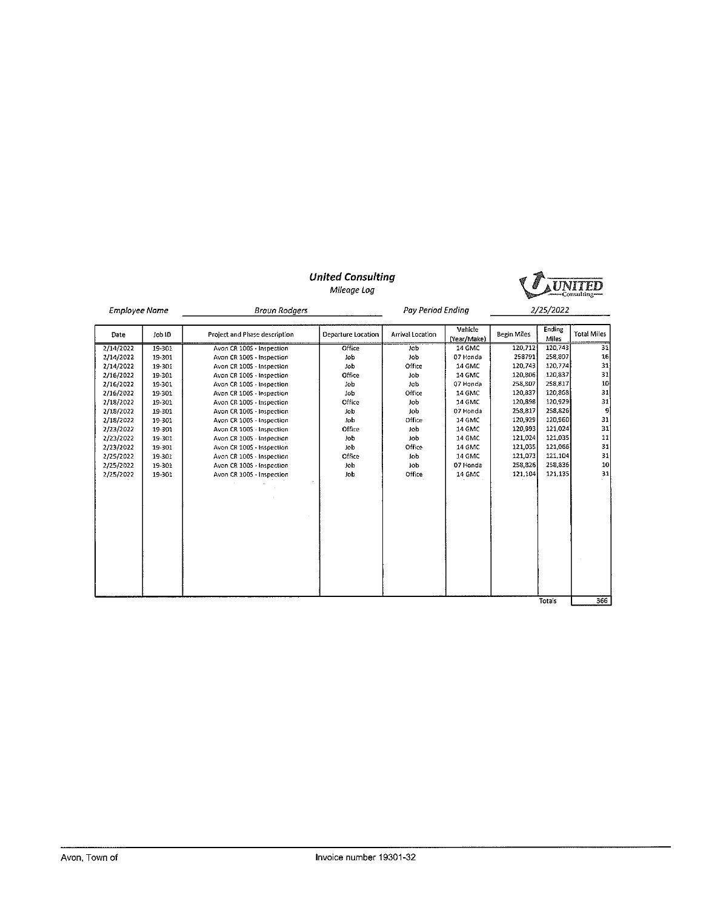#### **United Consulting** Mileage Log



| <b>Employee Name</b> |        | <b>Braun Rodgers</b>          |                    | Pay Period Ending |                        |             | <i><b>2/25/2022</b></i> |                    |
|----------------------|--------|-------------------------------|--------------------|-------------------|------------------------|-------------|-------------------------|--------------------|
| Date                 | Job ID | Project and Phase description | Departure Location | Arrival Location  | Vehicle<br>(Year/Make) | Begin Miles | Ending<br><b>Miles</b>  | <b>Total Miles</b> |
| 2/14/2022            | 19-301 | Avon CR 1005 - Inspection     | Office             | Job               | 14 GMC                 | 120,712     | 120.743                 | $\overline{31}$    |
| 2/14/2022            | 19-301 | Avon CR 100S - Inspection     | iob                | Job               | 07 Honda               | 258791      | 258.307                 | 16                 |
| 2/14/2022            | 19-301 | Avon CR 1005 - Inspection     | Job                | Office            | 14 GMC                 | 120,743     | 120,774                 | 31                 |
| 2/16/2022            | 19-301 | Avon CR 100S - Inspection     | Office             | Job               | 14 GMC                 | 120,806     | 120,837                 | 31                 |
| 2/16/2022            | 19-301 | Avon CR 1005 - Inspection     | Job                | Job               | 07 Honda               | 258,807     | 258,817                 | 10                 |
| 2/16/2022            | 19-301 | Avon CR 100S - Inspection     | Job                | Office            | 14 GMC                 | 120,837     | 120,368                 | 31                 |
| 2/18/2022            | 19-301 | Avon CR 1005 - Inspection     | Office             | Job               | 14 GMC                 | 120,898     | 120,929                 | 31                 |
| 2/18/2022            | 19-301 | Avon CR 100S - Inspection     | <b>Job</b>         | <b>Job</b>        | 07 Honda               | 258.817     | 258,826                 | 9                  |
| 2/18/2022            | 19-301 | Avon CR 1005 - Inspection     | Job                | Office            | 14 GMC                 | 120,929     | 120,960                 | 31                 |
| 2/23/2022            | 19-301 | Avon CR 1005 - Inspection     | Office             | Job               | 14 GMC                 | 120,993     | 121,024                 | 31                 |
| 2/23/2022            | 19-301 | Avon CR 1005 - Inspection     | Job                | Job               | 14 GMC                 | 121.024     | 121,035                 | 11                 |
| 2/23/2022            | 19-301 | Avon CR 100S - Inspection     | Job                | Office            | 14 GMC                 | 121,035     | 121,066                 | 31                 |
| 2/25/2022            | 19-301 | Avon CR 1005 - Inspection     | Office             | Job               | 14 GMC                 | 121,073     | 121,104                 | 31                 |
| 2/25/2022            | 19-301 | Avon CR 100S - Inspection     | Job                | Job               | 07 Honda               | 258,826     | 258,836                 | 10                 |
| 2/25/2022            | 19-301 | Avon CR 1005 - Inspection     | Job                | Office            | 14 GMC                 | 121,104     | 121, 135                | 31                 |
|                      |        |                               |                    |                   |                        |             |                         |                    |
|                      |        |                               |                    |                   |                        |             |                         |                    |
|                      |        |                               |                    |                   |                        |             |                         |                    |
|                      |        |                               |                    |                   |                        |             | Totals                  | 366                |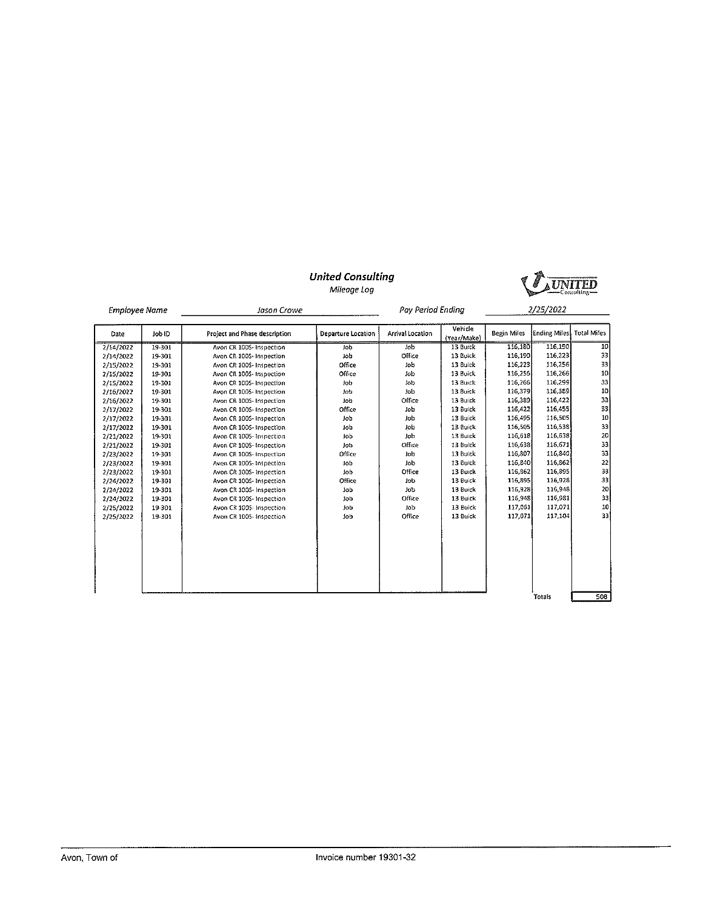

Mileage Log

| <b>Employee Name</b> |        | Jason Crowe                   |                    | Pay Period Ending |                        |                    | 2/25/2022            |                    |
|----------------------|--------|-------------------------------|--------------------|-------------------|------------------------|--------------------|----------------------|--------------------|
| Date                 | Job ID | Project and Phase description | Departure Location | Arrival Location  | Vehicle<br>(Year/Make) | <b>Begin Miles</b> | <b>Ending Miles!</b> | <b>Total Miles</b> |
| 2/14/2022            | 19-301 | Avon CR 1005- Inspection      | Job                | Job               | 13 Buick               | 116,180            | 116,190              | 10                 |
| 2/14/2022            | 19-301 | Avon CR 1005- Inspection      | Job                | Office            | 13 Buick               | 116,190            | 116,223              | 33                 |
| 2/15/2022            | 19-301 | Avon CR 100S- Inspection      | Office             | Job               | 13 Buick               | 116,223            | 116,256              | 33                 |
| 2/15/2022            | 19-301 | Avon CR 100S- Inspection      | Office             | Job               | 13 Buick               | 116,256            | 116,266              | 10                 |
| 2/15/2022            | 19-301 | Avon CR 1005- Inspection      | Job                | Job               | 13 Buick               | 116,266            | 116,299              | 33                 |
| 2/16/2022            | 19-301 | Avon CR 1005- Inspection      | Job                | <b>lob</b>        | 13 Buick               | 116,379            | 116,389              | 10                 |
| 2/16/2022            | 19-301 | Avon CR 100S- Inspection      | Job                | Office            | 13 Buick               | 116,389            | 116 422              | 33                 |
| 2/17/2022            | 19-301 | Avon CR 1005- Inspection      | Office             | Job               | 13 Buick               | 116,422            | 116,455              | 33                 |
| 2/17/2022            | 19-301 | Avon CR 1005-Inspection       | Job                | Job               | 13 Buick               | 116,495            | 116.505              | 10                 |
| 2/17/2022            | 19-301 | Avon CR 1005-Inspection       | Job                | Job               | 13 Buick               | 116,505            | 116,538              | 33                 |
| 2/21/2022            | 19-301 | Avon CR 100S-Inspection       | lob                | Job               | 13 Buick               | 116,618            | 116,638              | 20                 |
| 2/21/2022            | 19-301 | Avon CR 100S- Inspection      | Job                | Office            | 13 Buick               | 116,633            | 116,671              | 33                 |
| 2/23/2022            | 19-301 | Avon CR 1005-Inspection       | Office             | Job               | 13 Buick               | 116,807            | 116,840              | 33                 |
| 2/23/2022            | 19-301 | Avon CR 1005- Inspection      | Job                | Job               | 13 Buick               | 116,840            | 116,862              | 22                 |
| 2/23/2022            | 19-301 | Avon CR 100S-Inspection       | Job                | Office            | 13 Buick               | 116,862            | 116 895              | 33                 |
| 2/24/2022            | 19-301 | Avon CR 100S- Inspection      | Office             | Job               | 13 Buick               | 116,895            | 116,928              | 33                 |
| 2/24/2022            | 19-301 | Avon CR 100S- Inspection      | Job                | Job               | 13 Buick               | 116,928            | 116,948              | 20                 |
| 2/24/2022            | 19-301 | Avon CR 100S- Inspection      | Job                | Office            | 13 Buick               | 116,948            | 116,981              | 33                 |
| 2/25/2022            | 19-301 | Avon CR 100S- Inspection      | Job                | Job               | 13 Buick               | 117,061            | 117.071              | 10                 |
| 2/25/2022            | 19-301 | Avon CR 1005- Inspection      | lob                | Office            | 13 Buick               | 117,071            | 117, 104             | 33                 |
|                      |        |                               |                    |                   |                        |                    |                      |                    |
|                      |        |                               |                    |                   |                        |                    |                      |                    |
|                      |        |                               |                    |                   |                        |                    |                      |                    |
|                      |        |                               |                    |                   |                        |                    |                      |                    |
|                      |        |                               |                    |                   |                        |                    |                      |                    |
|                      |        |                               |                    |                   |                        |                    | Totals               | 508                |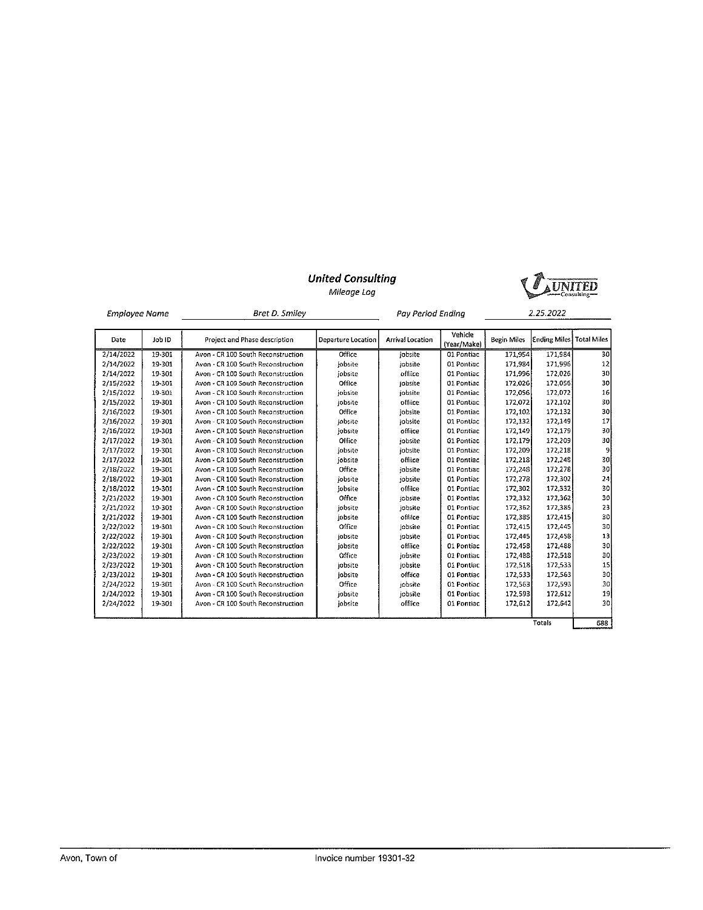Mileage Log



| <b>Employee Name</b> |        | Bret D. Smiley                     | Pay Period Ending  |                  |                        | 2.25.2022          |                          |                |
|----------------------|--------|------------------------------------|--------------------|------------------|------------------------|--------------------|--------------------------|----------------|
| Date                 | Job ID | Project and Phase description      | Departure Location | Arrival Location | Vehicle<br>(Year/Make) | <b>Begin Miles</b> | Ending Miles Total Miles |                |
| 2/14/2022            | 19-301 | Avon - CR 100 South Reconstruction | Office             | iobsite          | 01 Pontiac             | 171.954            | 171.984                  | 30             |
| 2/14/2022            | 19-301 | Avon - CR 100 South Reconstruction | lobsite            | tobsite          | 01 Pontiac             | 171,984            | 171,996                  | 12             |
| 2/14/2022            | 19-301 | Avon - CR 100 South Reconstruction | jobsite            | offiice          | 01 Pontiac             | 171,996            | 172,026                  | 30             |
| 2/15/2022            | 19-301 | Avon - CR 100 South Reconstruction | Office             | jobsite          | 01 Pontiac             | 172,026            | 172,056                  | 30             |
| 2/15/2022            | 19-301 | Avon - CR 100 South Reconstruction | jobsite            | jobsite          | 01 Pontiac             | 172,056            | 172,072                  | 16             |
| 2/15/2022            | 19-301 | Avon - CR 100 South Reconstruction | jobsite            | offiice          | 01 Pontiac             | 172,072            | 172,102                  | 30             |
| 2/16/2022            | 19-301 | Avon - CR 100 South Reconstruction | Office             | iobsite          | 01 Pontiac             | 172,102            | 172,132                  | 30             |
| 2/16/2022            | 19-301 | Avon - CR 100 South Reconstruction | jobsite            | jobsite          | 01 Pontiac             | 172,132            | 172,149                  | 17             |
| 2/16/2022            | 19-301 | Avon - CR 100 South Reconstruction | jobsite            | offiice          | 01 Pontiac             | 172,149            | 172.179                  | 30             |
| 2/17/2022            | 19-301 | Avon - CR 100 South Reconstruction | Office             | jobsite          | 01 Pontiac             | 172.179            | 172,209                  | 30             |
| 2/17/2022            | 19-301 | Avon - CR 100 South Reconstruction | iobsite            | jobsite          | 01 Pontiac             | 172.209            | 172,218                  | $\overline{9}$ |
| 2/17/2022            | 19-301 | Avon - CR 100 South Reconstruction | iobsite            | offiice          | 01 Pontiac             | 172 218            | 172,248                  | 30             |
| 2/18/2022            | 19-301 | Avon - CR 100 South Reconstruction | Office             | jobsite          | 01 Pontiac             | 172,248            | 172,278                  | 30             |
| 2/18/2022            | 19-301 | Avon - CR 100 South Reconstruction | jobsite            | iobsite          | 01 Pontiac             | 172.278            | 172,302                  | 24             |
| 2/18/2022            | 19-301 | Avon - CR 100 South Reconstruction | iobsite            | offiice          | 01 Pontiac             | 172.302            | 172,332                  | 30             |
| 2/21/2022            | 19-301 | Avon - CR 100 South Reconstruction | Office             | iobsite          | 01 Pontiac             | 172,332            | 172,362                  | 30             |
| 2/21/2022            | 19-301 | Avon - CR 100 South Reconstruction | iobsite            | jobsite          | 01 Pontiac             | 172,362            | 172,385                  | 23             |
| 2/21/2022            | 19-301 | Avon - CR 100 South Reconstruction | jobsite            | offilce          | 01 Pontiac             | 172 385            | 172,415                  | 30             |
| 2/22/2022            | 19-301 | Avon - CR 100 South Reconstruction | Office             | jobsite          | 01 Pontiac             | 172.415            | 172,445                  | 30             |
| 2/22/2022            | 19-301 | Avon - CR 100 South Reconstruction | jobsite            | jobsite          | 01 Pontiac             | 172,445            | 172,458                  | 13             |
| 2/22/2022            | 19-301 | Avon - CR 100 South Reconstruction | jobsite            | offiice          | 01 Pontiac             | 172.458            | 172,488                  | 30             |
| 2/23/2022            | 19-301 | Avon - CR 100 South Reconstruction | Office             | jobsite          | 01 Pontiac             | 172,488            | 172,518                  | 30             |
| 2/23/2022            | 19-301 | Avon - CR 100 South Reconstruction | jobsite            | jobsite          | 01 Pontiac             | 172,518            | 172.533                  | 15             |
| 2/23/2022            | 19-301 | Avon - CR 100 South Reconstruction | jobsite            | offiice          | 01 Pontiac             | 172,533            | 172,563                  | 30             |
| 2/24/2022            | 19-301 | Avon - CR 100 South Reconstruction | Office             | jobsite          | 01 Pontiac             | 172.563            | 172.593                  | 30             |
| 2/24/2022            | 19-301 | Avon - CR 100 South Reconstruction | iobsite            | jobsite          | 01 Pontiac             | 172,593            | 172,612                  | 19             |
| 2/24/2022            | 19-301 | Avon - CR 100 South Reconstruction | jobsite            | offiice          | 01 Pontiac             | 172,612            | 172,642                  | 30             |
|                      |        |                                    |                    |                  |                        |                    |                          |                |
|                      |        |                                    |                    |                  |                        |                    | Totals                   | 688            |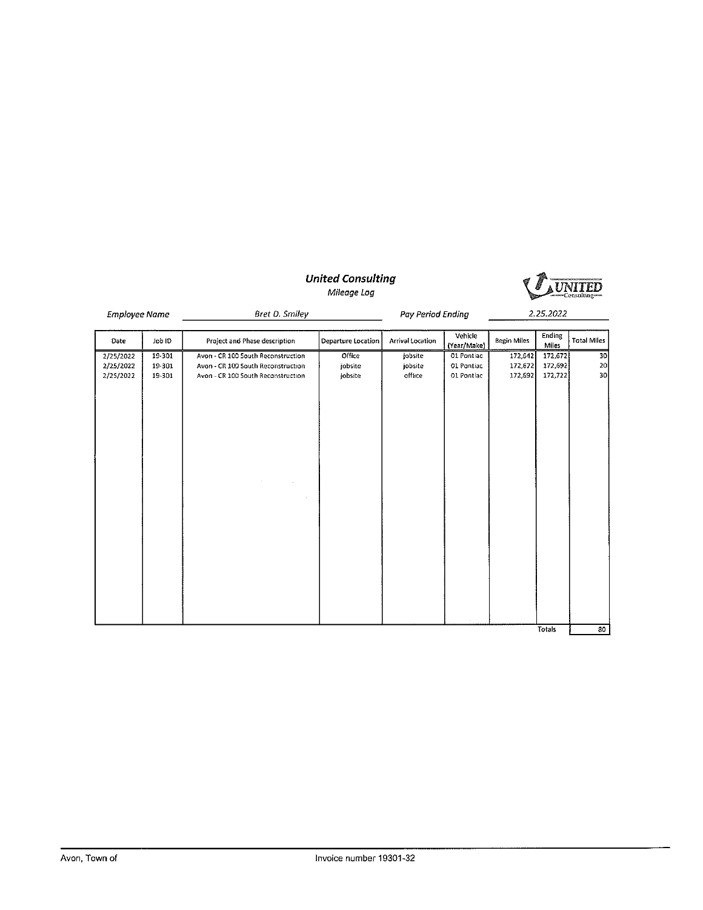



| Bret D. Smiley |  |
|----------------|--|
|                |  |

**Employee Name** 

Pay Period Ending

2.25.2022

| Date      | Job ID | Project and Phase description      | Departure Location | Arrival Location | Vehicle<br>(Year/Make) | <b>Begin Miles</b> | Ending<br>Miles | <b>Total Miles</b> |
|-----------|--------|------------------------------------|--------------------|------------------|------------------------|--------------------|-----------------|--------------------|
| 2/25/2022 | 19-301 | Avon - CR 100 South Reconstruction | Office             | jobsite          | 01 Pontiac             | 172,642            | 172,672         | 30                 |
| 2/25/2022 | 19-301 | Avon - CR 100 South Reconstruction | jobsite            | jobsite          | 01 Pontiac             | 172,672            | 172,692         | 20                 |
| 2/25/2022 | 19-301 | Avon - CR 100 South Reconstruction | jobsite            | office           | 01 Pontiac             | 172,692            | 172,722         | 30                 |
|           |        |                                    |                    |                  |                        |                    |                 |                    |
|           |        |                                    |                    |                  |                        |                    | Totals          | 80                 |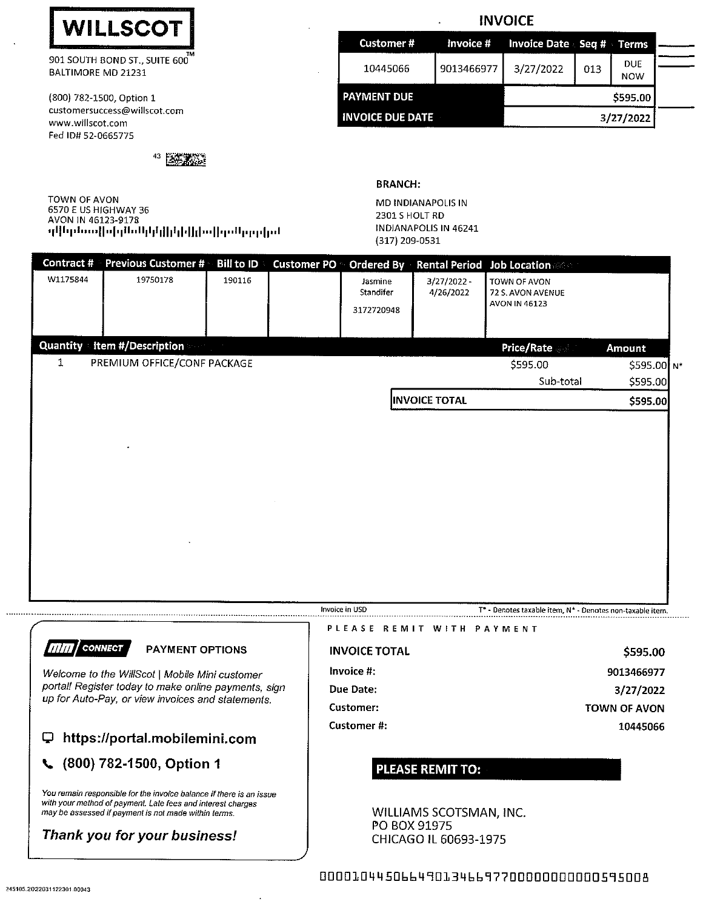

901 SOUTH BOND ST., SUITE 600 BALTIMORE MD 21231

(800) 782-1500, Option 1 customersuccess@willscot.com www.willscot.com Fed ID# 52-0665775

43 医苏苏达

TOWN OF AVON 6570 E US HIGHWAY 36 AVON IN 46123-9178 նվերընտերին կինիկների համրիկի

# **INVOICE**

| <b>Customer#</b>        |            | Invoice # Invoice Date Seq # Terms |          |                          |  |
|-------------------------|------------|------------------------------------|----------|--------------------------|--|
| 10445066                | 9013466977 | 3/27/2022                          | 013      | <b>DUE</b><br><b>NOW</b> |  |
| <b>PAYMENT DUE</b>      |            |                                    | \$595.00 |                          |  |
| <b>INVOICE DUE DATE</b> |            |                                    |          | 3/27/2022                |  |

**BRANCH:** 

MD INDIANAPOLIS IN 2301 S HOLT RD INDIANAPOLIS IN 46241 (317) 209-0531

| Contract #     | <b>Previous Customer #</b>  | <b>Bill to ID</b> | Customer PO © Ordered By |                                    |                                                           | <b>Rental Period Job Location Manual</b>           |           |
|----------------|-----------------------------|-------------------|--------------------------|------------------------------------|-----------------------------------------------------------|----------------------------------------------------|-----------|
| W1175844       | 19750178                    | 190116            |                          | Jasmine<br>Standifer<br>3172720948 | $3/27/2022 -$<br>4/26/2022                                | TOWN OF AVON<br>72 S. AVON AVENUE<br>AVON IN 46123 |           |
| Quantity       | Item #/Description          |                   |                          |                                    |                                                           | <b>Price/Rate</b>                                  | Amount    |
| 1              | PREMIUM OFFICE/CONF PACKAGE |                   |                          |                                    |                                                           | \$595.00                                           | S595.00 N |
|                |                             |                   |                          |                                    |                                                           | Sub-total                                          | \$595.00  |
|                |                             |                   |                          |                                    | <b>INVOICE TOTAL</b>                                      |                                                    | \$595.00  |
|                |                             |                   |                          |                                    |                                                           |                                                    |           |
| Invoice in USD |                             |                   |                          |                                    | T* - Denotes taxable item, N* - Denotes non-taxable item. |                                                    |           |



9013466977 3/27/2022 **TOWN OF AVON** 

\$595.00

10445066